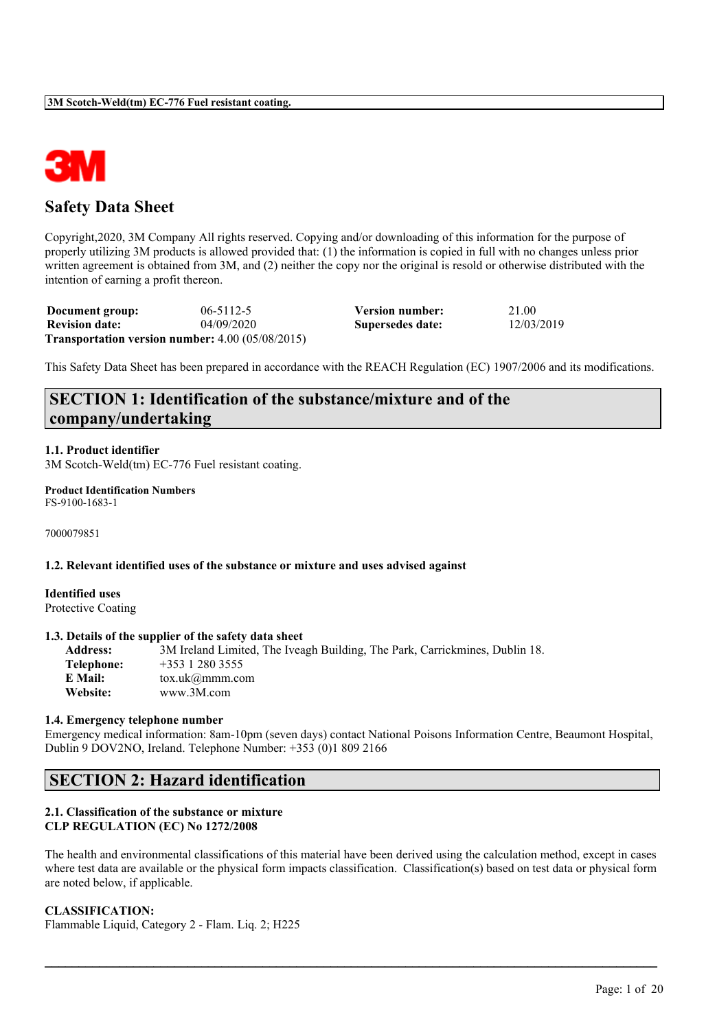

# **Safety Data Sheet**

Copyright,2020, 3M Company All rights reserved. Copying and/or downloading of this information for the purpose of properly utilizing 3M products is allowed provided that: (1) the information is copied in full with no changes unless prior written agreement is obtained from 3M, and (2) neither the copy nor the original is resold or otherwise distributed with the intention of earning a profit thereon.

| Document group:       | $06 - 5112 - 5$                                               | <b>Version number:</b> | 21.00      |
|-----------------------|---------------------------------------------------------------|------------------------|------------|
| <b>Revision date:</b> | 04/09/2020                                                    | Supersedes date:       | 12/03/2019 |
|                       | <b>Transportation version number:</b> $4.00$ ( $05/08/2015$ ) |                        |            |

This Safety Data Sheet has been prepared in accordance with the REACH Regulation (EC) 1907/2006 and its modifications.

# **SECTION 1: Identification of the substance/mixture and of the company/undertaking**

## **1.1. Product identifier**

3M Scotch-Weld(tm) EC-776 Fuel resistant coating.

**Product Identification Numbers** FS-9100-1683-1

7000079851

## **1.2. Relevant identified uses of the substance or mixture and uses advised against**

**Identified uses** Protective Coating

## **1.3. Details of the supplier of the safety data sheet**

**Address:** 3M Ireland Limited, The Iveagh Building, The Park, Carrickmines, Dublin 18. **Telephone:** +353 1 280 3555<br>**E Mail:** tox uk@mmm co **E Mail:** tox.uk@mmm.com **Website:** www.3M.com

#### **1.4. Emergency telephone number**

Emergency medical information: 8am-10pm (seven days) contact National Poisons Information Centre, Beaumont Hospital, Dublin 9 DOV2NO, Ireland. Telephone Number: +353 (0)1 809 2166

# **SECTION 2: Hazard identification**

#### **2.1. Classification of the substance or mixture CLP REGULATION (EC) No 1272/2008**

The health and environmental classifications of this material have been derived using the calculation method, except in cases where test data are available or the physical form impacts classification. Classification(s) based on test data or physical form are noted below, if applicable.

 $\mathcal{L}_\mathcal{L} = \mathcal{L}_\mathcal{L} = \mathcal{L}_\mathcal{L} = \mathcal{L}_\mathcal{L} = \mathcal{L}_\mathcal{L} = \mathcal{L}_\mathcal{L} = \mathcal{L}_\mathcal{L} = \mathcal{L}_\mathcal{L} = \mathcal{L}_\mathcal{L} = \mathcal{L}_\mathcal{L} = \mathcal{L}_\mathcal{L} = \mathcal{L}_\mathcal{L} = \mathcal{L}_\mathcal{L} = \mathcal{L}_\mathcal{L} = \mathcal{L}_\mathcal{L} = \mathcal{L}_\mathcal{L} = \mathcal{L}_\mathcal{L}$ 

# **CLASSIFICATION:**

Flammable Liquid, Category 2 - Flam. Liq. 2; H225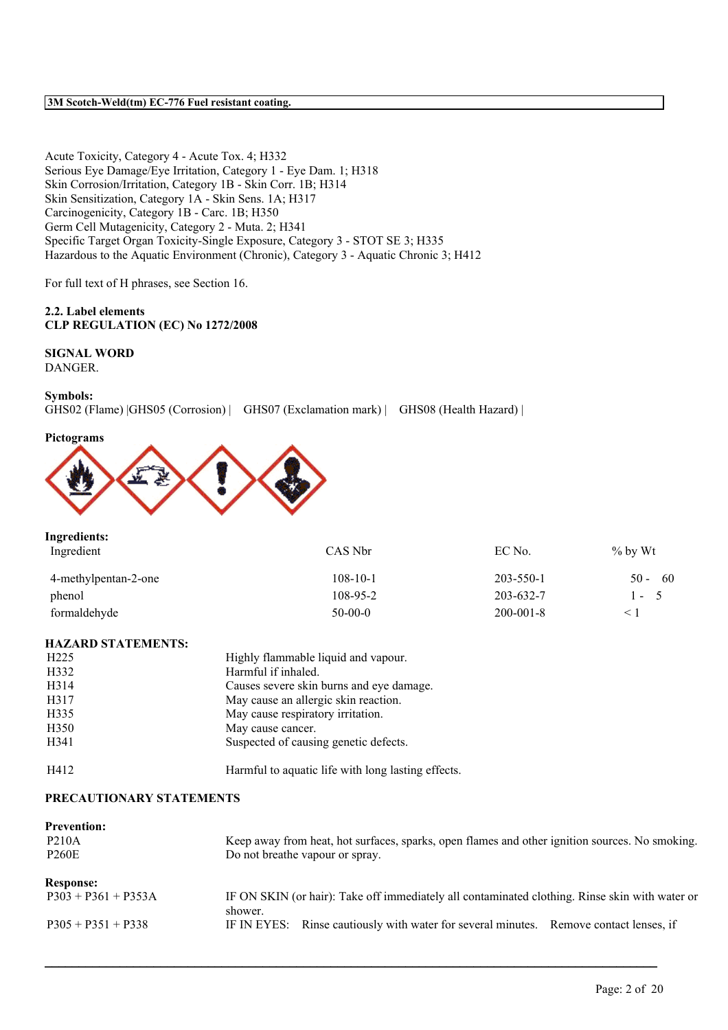Acute Toxicity, Category 4 - Acute Tox. 4; H332 Serious Eye Damage/Eye Irritation, Category 1 - Eye Dam. 1; H318 Skin Corrosion/Irritation, Category 1B - Skin Corr. 1B; H314 Skin Sensitization, Category 1A - Skin Sens. 1A; H317 Carcinogenicity, Category 1B - Carc. 1B; H350 Germ Cell Mutagenicity, Category 2 - Muta. 2; H341 Specific Target Organ Toxicity-Single Exposure, Category 3 - STOT SE 3; H335 Hazardous to the Aquatic Environment (Chronic), Category 3 - Aquatic Chronic 3; H412

For full text of H phrases, see Section 16.

## **2.2. Label elements CLP REGULATION (EC) No 1272/2008**

# **SIGNAL WORD**

DANGER.

## **Symbols:**

GHS02 (Flame) |GHS05 (Corrosion) | GHS07 (Exclamation mark) | GHS08 (Health Hazard) |

#### **Pictograms**



| Ingredients:         |                |                 |               |
|----------------------|----------------|-----------------|---------------|
| Ingredient           | CAS Nbr        | EC No.          | $\%$ by Wt    |
| 4-methylpentan-2-one | $108 - 10 - 1$ | $203 - 550 - 1$ | -60<br>$50 -$ |
| phenol               | 108-95-2       | 203-632-7       | $1 - 5$       |
| formaldehyde         | $50-00-0$      | $200 - 001 - 8$ |               |

## **HAZARD STATEMENTS:**

| H <sub>225</sub> | Highly flammable liquid and vapour.                |
|------------------|----------------------------------------------------|
| H332             | Harmful if inhaled.                                |
| H314             | Causes severe skin burns and eye damage.           |
| H317             | May cause an allergic skin reaction.               |
| H335             | May cause respiratory irritation.                  |
| H <sub>350</sub> | May cause cancer.                                  |
| H341             | Suspected of causing genetic defects.              |
| H412             | Harmful to aquatic life with long lasting effects. |

#### **PRECAUTIONARY STATEMENTS**

| <b>Prevention:</b>    |                                                                                                           |
|-----------------------|-----------------------------------------------------------------------------------------------------------|
| <b>P210A</b>          | Keep away from heat, hot surfaces, sparks, open flames and other ignition sources. No smoking.            |
| <b>P260E</b>          | Do not breathe vapour or spray.                                                                           |
| <b>Response:</b>      |                                                                                                           |
| $P303 + P361 + P353A$ | IF ON SKIN (or hair): Take off immediately all contaminated clothing. Rinse skin with water or<br>shower. |
| $P305 + P351 + P338$  | IF IN EYES: Rinse cautiously with water for several minutes. Remove contact lenses, if                    |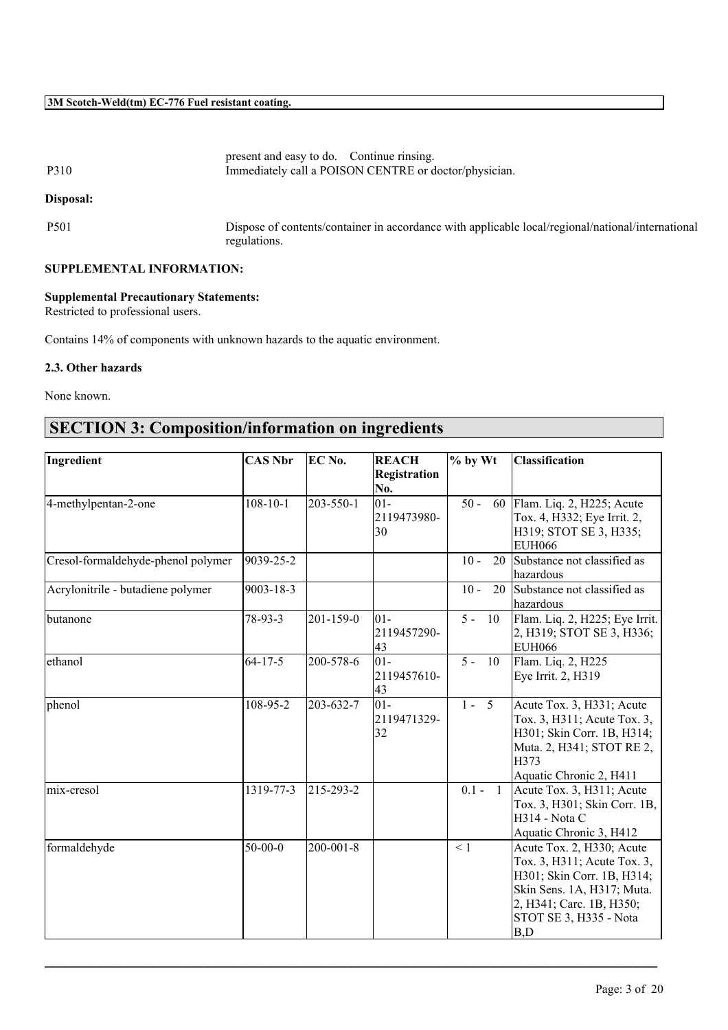| P310                             | present and easy to do. Continue rinsing.<br>Immediately call a POISON CENTRE or doctor/physician.                |
|----------------------------------|-------------------------------------------------------------------------------------------------------------------|
| Disposal:                        |                                                                                                                   |
| <b>P501</b>                      | Dispose of contents/container in accordance with applicable local/regional/national/international<br>regulations. |
| <b>SUPPLEMENTAL INFORMATION:</b> |                                                                                                                   |

# **Supplemental Precautionary Statements:**

Restricted to professional users.

Contains 14% of components with unknown hazards to the aquatic environment.

## **2.3. Other hazards**

None known.

# **SECTION 3: Composition/information on ingredients**

| No.<br>$108 - 10 - 1$<br>$01 -$<br>$50 -$<br>203-550-1<br>Flam. Liq. 2, H225; Acute<br>60<br>2119473980-<br>Tox. 4, H332; Eye Irrit. 2,<br>30<br>H319; STOT SE 3, H335;<br><b>EUH066</b><br>Substance not classified as<br>9039-25-2<br>$10 -$<br>20<br>hazardous<br>9003-18-3<br>Substance not classified as<br>Acrylonitrile - butadiene polymer<br>$10 -$<br>20<br>hazardous<br>Flam. Liq. 2, H225; Eye Irrit.<br>78-93-3<br>$201 - 159 - 0$<br>$ 01-$<br>$5 - 10$<br>butanone<br>2119457290-<br>2, H319; STOT SE 3, H336;<br>43<br><b>EUH066</b><br>$ 01 -$<br>$64 - 17 - 5$<br>200-578-6<br>$5 -$<br><b>10</b><br>Flam. Liq. 2, H225<br>ethanol<br>2119457610-<br>Eye Irrit. 2, H319<br>43<br>$1 - 5$<br>108-95-2<br>203-632-7<br>$ 01-$<br>Acute Tox. 3, H331; Acute<br>Tox. 3, H311; Acute Tox. 3,<br>2119471329-<br> 32 <br>H301; Skin Corr. 1B, H314;<br>Muta. 2, H341; STOT RE 2,<br>H373<br>Aquatic Chronic 2, H411<br>Acute Tox. 3, H311; Acute<br>$0.1 - 1$<br>1319-77-3<br>215-293-2<br>Tox. 3, H301; Skin Corr. 1B,<br><b>H314</b> - Nota C<br>Aquatic Chronic 3, H412<br>$50-00-0$<br>$200 - 001 - 8$<br>$\leq$ 1<br>Acute Tox. 2, H330; Acute<br>Tox. 3, H311; Acute Tox. 3,<br>H301; Skin Corr. 1B, H314;<br>Skin Sens. 1A, H317; Muta.<br>2, H341; Carc. 1B, H350;<br>STOT SE 3, H335 - Nota | Ingredient                         | <b>CAS Nbr</b> | EC No. | <b>REACH</b><br>Registration | $%$ by Wt | <b>Classification</b> |
|-----------------------------------------------------------------------------------------------------------------------------------------------------------------------------------------------------------------------------------------------------------------------------------------------------------------------------------------------------------------------------------------------------------------------------------------------------------------------------------------------------------------------------------------------------------------------------------------------------------------------------------------------------------------------------------------------------------------------------------------------------------------------------------------------------------------------------------------------------------------------------------------------------------------------------------------------------------------------------------------------------------------------------------------------------------------------------------------------------------------------------------------------------------------------------------------------------------------------------------------------------------------------------------------------------------------|------------------------------------|----------------|--------|------------------------------|-----------|-----------------------|
|                                                                                                                                                                                                                                                                                                                                                                                                                                                                                                                                                                                                                                                                                                                                                                                                                                                                                                                                                                                                                                                                                                                                                                                                                                                                                                                 |                                    |                |        |                              |           |                       |
|                                                                                                                                                                                                                                                                                                                                                                                                                                                                                                                                                                                                                                                                                                                                                                                                                                                                                                                                                                                                                                                                                                                                                                                                                                                                                                                 | 4-methylpentan-2-one               |                |        |                              |           |                       |
|                                                                                                                                                                                                                                                                                                                                                                                                                                                                                                                                                                                                                                                                                                                                                                                                                                                                                                                                                                                                                                                                                                                                                                                                                                                                                                                 |                                    |                |        |                              |           |                       |
|                                                                                                                                                                                                                                                                                                                                                                                                                                                                                                                                                                                                                                                                                                                                                                                                                                                                                                                                                                                                                                                                                                                                                                                                                                                                                                                 |                                    |                |        |                              |           |                       |
|                                                                                                                                                                                                                                                                                                                                                                                                                                                                                                                                                                                                                                                                                                                                                                                                                                                                                                                                                                                                                                                                                                                                                                                                                                                                                                                 | Cresol-formaldehyde-phenol polymer |                |        |                              |           |                       |
|                                                                                                                                                                                                                                                                                                                                                                                                                                                                                                                                                                                                                                                                                                                                                                                                                                                                                                                                                                                                                                                                                                                                                                                                                                                                                                                 |                                    |                |        |                              |           |                       |
|                                                                                                                                                                                                                                                                                                                                                                                                                                                                                                                                                                                                                                                                                                                                                                                                                                                                                                                                                                                                                                                                                                                                                                                                                                                                                                                 |                                    |                |        |                              |           |                       |
|                                                                                                                                                                                                                                                                                                                                                                                                                                                                                                                                                                                                                                                                                                                                                                                                                                                                                                                                                                                                                                                                                                                                                                                                                                                                                                                 |                                    |                |        |                              |           |                       |
|                                                                                                                                                                                                                                                                                                                                                                                                                                                                                                                                                                                                                                                                                                                                                                                                                                                                                                                                                                                                                                                                                                                                                                                                                                                                                                                 |                                    |                |        |                              |           |                       |
|                                                                                                                                                                                                                                                                                                                                                                                                                                                                                                                                                                                                                                                                                                                                                                                                                                                                                                                                                                                                                                                                                                                                                                                                                                                                                                                 |                                    |                |        |                              |           |                       |
|                                                                                                                                                                                                                                                                                                                                                                                                                                                                                                                                                                                                                                                                                                                                                                                                                                                                                                                                                                                                                                                                                                                                                                                                                                                                                                                 |                                    |                |        |                              |           |                       |
|                                                                                                                                                                                                                                                                                                                                                                                                                                                                                                                                                                                                                                                                                                                                                                                                                                                                                                                                                                                                                                                                                                                                                                                                                                                                                                                 |                                    |                |        |                              |           |                       |
|                                                                                                                                                                                                                                                                                                                                                                                                                                                                                                                                                                                                                                                                                                                                                                                                                                                                                                                                                                                                                                                                                                                                                                                                                                                                                                                 |                                    |                |        |                              |           |                       |
|                                                                                                                                                                                                                                                                                                                                                                                                                                                                                                                                                                                                                                                                                                                                                                                                                                                                                                                                                                                                                                                                                                                                                                                                                                                                                                                 | phenol                             |                |        |                              |           |                       |
|                                                                                                                                                                                                                                                                                                                                                                                                                                                                                                                                                                                                                                                                                                                                                                                                                                                                                                                                                                                                                                                                                                                                                                                                                                                                                                                 |                                    |                |        |                              |           |                       |
|                                                                                                                                                                                                                                                                                                                                                                                                                                                                                                                                                                                                                                                                                                                                                                                                                                                                                                                                                                                                                                                                                                                                                                                                                                                                                                                 |                                    |                |        |                              |           |                       |
|                                                                                                                                                                                                                                                                                                                                                                                                                                                                                                                                                                                                                                                                                                                                                                                                                                                                                                                                                                                                                                                                                                                                                                                                                                                                                                                 |                                    |                |        |                              |           |                       |
|                                                                                                                                                                                                                                                                                                                                                                                                                                                                                                                                                                                                                                                                                                                                                                                                                                                                                                                                                                                                                                                                                                                                                                                                                                                                                                                 |                                    |                |        |                              |           |                       |
|                                                                                                                                                                                                                                                                                                                                                                                                                                                                                                                                                                                                                                                                                                                                                                                                                                                                                                                                                                                                                                                                                                                                                                                                                                                                                                                 | mix-cresol                         |                |        |                              |           |                       |
|                                                                                                                                                                                                                                                                                                                                                                                                                                                                                                                                                                                                                                                                                                                                                                                                                                                                                                                                                                                                                                                                                                                                                                                                                                                                                                                 |                                    |                |        |                              |           |                       |
|                                                                                                                                                                                                                                                                                                                                                                                                                                                                                                                                                                                                                                                                                                                                                                                                                                                                                                                                                                                                                                                                                                                                                                                                                                                                                                                 |                                    |                |        |                              |           |                       |
|                                                                                                                                                                                                                                                                                                                                                                                                                                                                                                                                                                                                                                                                                                                                                                                                                                                                                                                                                                                                                                                                                                                                                                                                                                                                                                                 |                                    |                |        |                              |           |                       |
|                                                                                                                                                                                                                                                                                                                                                                                                                                                                                                                                                                                                                                                                                                                                                                                                                                                                                                                                                                                                                                                                                                                                                                                                                                                                                                                 | formaldehyde                       |                |        |                              |           |                       |
|                                                                                                                                                                                                                                                                                                                                                                                                                                                                                                                                                                                                                                                                                                                                                                                                                                                                                                                                                                                                                                                                                                                                                                                                                                                                                                                 |                                    |                |        |                              |           |                       |
|                                                                                                                                                                                                                                                                                                                                                                                                                                                                                                                                                                                                                                                                                                                                                                                                                                                                                                                                                                                                                                                                                                                                                                                                                                                                                                                 |                                    |                |        |                              |           |                       |
|                                                                                                                                                                                                                                                                                                                                                                                                                                                                                                                                                                                                                                                                                                                                                                                                                                                                                                                                                                                                                                                                                                                                                                                                                                                                                                                 |                                    |                |        |                              |           |                       |
|                                                                                                                                                                                                                                                                                                                                                                                                                                                                                                                                                                                                                                                                                                                                                                                                                                                                                                                                                                                                                                                                                                                                                                                                                                                                                                                 |                                    |                |        |                              |           |                       |
|                                                                                                                                                                                                                                                                                                                                                                                                                                                                                                                                                                                                                                                                                                                                                                                                                                                                                                                                                                                                                                                                                                                                                                                                                                                                                                                 |                                    |                |        |                              |           | B,D                   |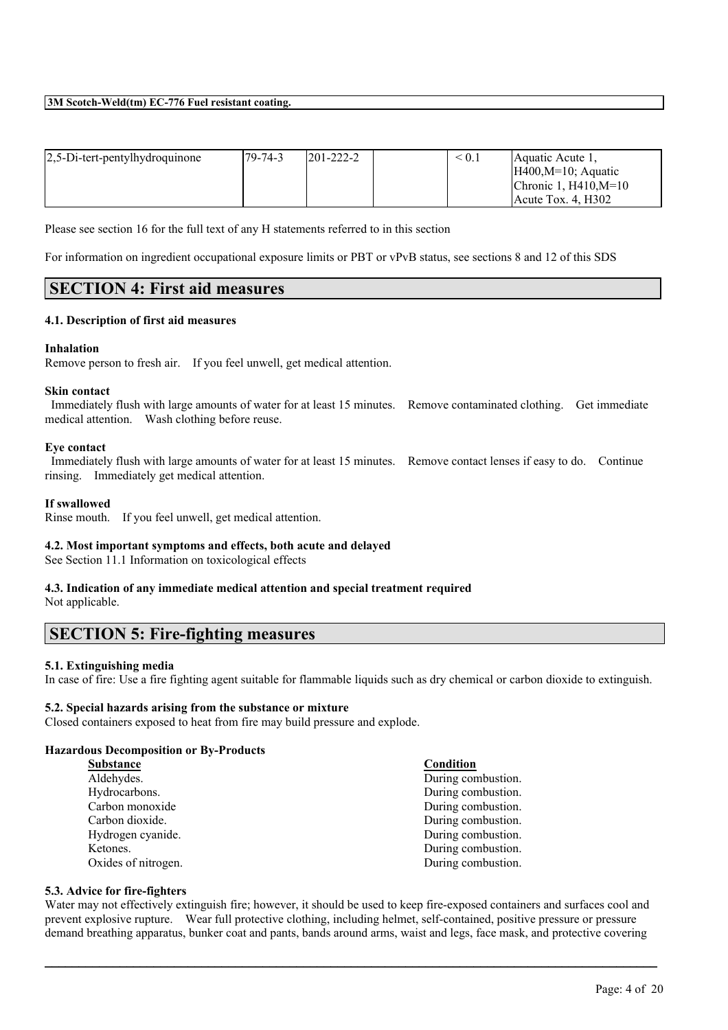| $2,5$ -Di-tert-pentylhydroquinone | 179-74-3 | $1201 - 222 - 2$ | < 0.1 | Aquatic Acute 1.       |
|-----------------------------------|----------|------------------|-------|------------------------|
|                                   |          |                  |       | $H400, M=10$ ; Aquatic |
|                                   |          |                  |       | Chronic 1. $H410.M=10$ |
|                                   |          |                  |       | $Acute$ Tox. 4. H302   |

Please see section 16 for the full text of any H statements referred to in this section

For information on ingredient occupational exposure limits or PBT or vPvB status, see sections 8 and 12 of this SDS

# **SECTION 4: First aid measures**

## **4.1. Description of first aid measures**

## **Inhalation**

Remove person to fresh air. If you feel unwell, get medical attention.

#### **Skin contact**

Immediately flush with large amounts of water for at least 15 minutes. Remove contaminated clothing. Get immediate medical attention. Wash clothing before reuse.

#### **Eye contact**

Immediately flush with large amounts of water for at least 15 minutes. Remove contact lenses if easy to do. Continue rinsing. Immediately get medical attention.

## **If swallowed**

Rinse mouth. If you feel unwell, get medical attention.

## **4.2. Most important symptoms and effects, both acute and delayed**

See Section 11.1 Information on toxicological effects

## **4.3. Indication of any immediate medical attention and special treatment required** Not applicable.

# **SECTION 5: Fire-fighting measures**

## **5.1. Extinguishing media**

In case of fire: Use a fire fighting agent suitable for flammable liquids such as dry chemical or carbon dioxide to extinguish.

#### **5.2. Special hazards arising from the substance or mixture**

Closed containers exposed to heat from fire may build pressure and explode.

#### **Hazardous Decomposition or By-Products**

| <b>Substance</b>    | Condition          |
|---------------------|--------------------|
| Aldehydes.          | During combustion. |
| Hydrocarbons.       | During combustion. |
| Carbon monoxide     | During combustion. |
| Carbon dioxide.     | During combustion. |
| Hydrogen cyanide.   | During combustion. |
| Ketones.            | During combustion. |
| Oxides of nitrogen. | During combustion. |
|                     |                    |

## **5.3. Advice for fire-fighters**

Water may not effectively extinguish fire; however, it should be used to keep fire-exposed containers and surfaces cool and prevent explosive rupture. Wear full protective clothing, including helmet, self-contained, positive pressure or pressure demand breathing apparatus, bunker coat and pants, bands around arms, waist and legs, face mask, and protective covering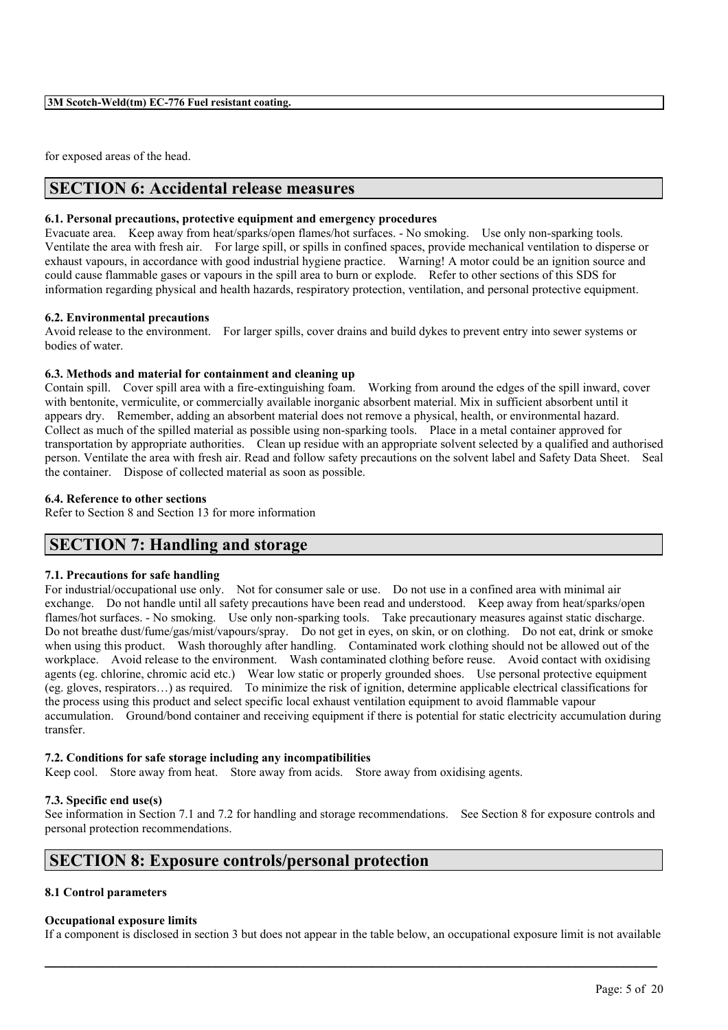for exposed areas of the head.

# **SECTION 6: Accidental release measures**

### **6.1. Personal precautions, protective equipment and emergency procedures**

Evacuate area. Keep away from heat/sparks/open flames/hot surfaces. - No smoking. Use only non-sparking tools. Ventilate the area with fresh air. For large spill, or spills in confined spaces, provide mechanical ventilation to disperse or exhaust vapours, in accordance with good industrial hygiene practice. Warning! A motor could be an ignition source and could cause flammable gases or vapours in the spill area to burn or explode. Refer to other sections of this SDS for information regarding physical and health hazards, respiratory protection, ventilation, and personal protective equipment.

## **6.2. Environmental precautions**

Avoid release to the environment. For larger spills, cover drains and build dykes to prevent entry into sewer systems or bodies of water.

## **6.3. Methods and material for containment and cleaning up**

Contain spill. Cover spill area with a fire-extinguishing foam. Working from around the edges of the spill inward, cover with bentonite, vermiculite, or commercially available inorganic absorbent material. Mix in sufficient absorbent until it appears dry. Remember, adding an absorbent material does not remove a physical, health, or environmental hazard. Collect as much of the spilled material as possible using non-sparking tools. Place in a metal container approved for transportation by appropriate authorities. Clean up residue with an appropriate solvent selected by a qualified and authorised person. Ventilate the area with fresh air. Read and follow safety precautions on the solvent label and Safety Data Sheet. Seal the container. Dispose of collected material as soon as possible.

#### **6.4. Reference to other sections**

Refer to Section 8 and Section 13 for more information

# **SECTION 7: Handling and storage**

## **7.1. Precautions for safe handling**

For industrial/occupational use only. Not for consumer sale or use. Do not use in a confined area with minimal air exchange. Do not handle until all safety precautions have been read and understood. Keep away from heat/sparks/open flames/hot surfaces. - No smoking. Use only non-sparking tools. Take precautionary measures against static discharge. Do not breathe dust/fume/gas/mist/vapours/spray. Do not get in eyes, on skin, or on clothing. Do not eat, drink or smoke when using this product. Wash thoroughly after handling. Contaminated work clothing should not be allowed out of the workplace. Avoid release to the environment. Wash contaminated clothing before reuse. Avoid contact with oxidising agents (eg. chlorine, chromic acid etc.) Wear low static or properly grounded shoes. Use personal protective equipment (eg. gloves, respirators…) as required. To minimize the risk of ignition, determine applicable electrical classifications for the process using this product and select specific local exhaust ventilation equipment to avoid flammable vapour accumulation. Ground/bond container and receiving equipment if there is potential for static electricity accumulation during transfer.

## **7.2. Conditions for safe storage including any incompatibilities**

Keep cool. Store away from heat. Store away from acids. Store away from oxidising agents.

## **7.3. Specific end use(s)**

See information in Section 7.1 and 7.2 for handling and storage recommendations. See Section 8 for exposure controls and personal protection recommendations.

# **SECTION 8: Exposure controls/personal protection**

## **8.1 Control parameters**

#### **Occupational exposure limits**

If a component is disclosed in section 3 but does not appear in the table below, an occupational exposure limit is not available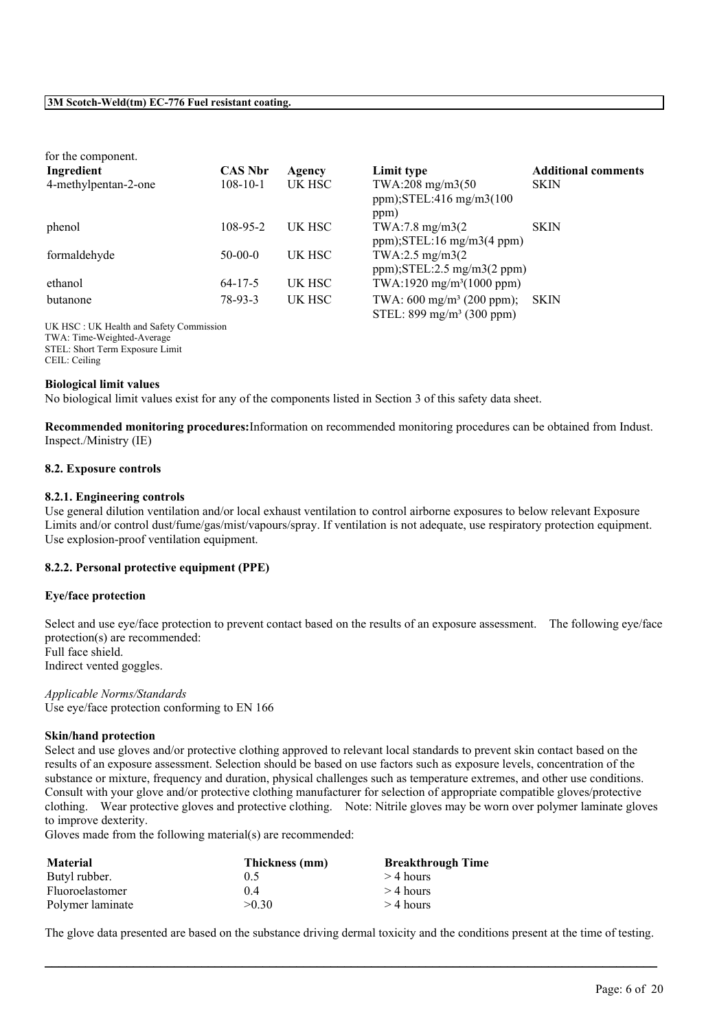| for the component.   |                |        |                                                                              |                            |
|----------------------|----------------|--------|------------------------------------------------------------------------------|----------------------------|
| Ingredient           | <b>CAS Nbr</b> | Agency | Limit type                                                                   | <b>Additional comments</b> |
| 4-methylpentan-2-one | $108 - 10 - 1$ | UK HSC | TWA:208 mg/m3(50<br>ppm); $STEL:416$ mg/m $3(100$<br>ppm)                    | <b>SKIN</b>                |
| phenol               | 108-95-2       | UK HSC | $TWA:7.8$ mg/m $3(2)$<br>$ppm$ ); STEL:16 mg/m3(4 ppm)                       | <b>SKIN</b>                |
| formaldehyde         | $50-00-0$      | UK HSC | TWA:2.5 mg/m3(2)<br>$ppm$ ); STEL: 2.5 mg/m3(2 ppm)                          |                            |
| ethanol              | $64 - 17 - 5$  | UK HSC | TWA:1920 mg/m <sup>3</sup> (1000 ppm)                                        |                            |
| butanone             | 78-93-3        | UK HSC | TWA: $600 \text{ mg/m}^3$ (200 ppm);<br>STEL: $899 \text{ mg/m}^3$ (300 ppm) | <b>SKIN</b>                |

UK HSC : UK Health and Safety Commission TWA: Time-Weighted-Average STEL: Short Term Exposure Limit CEIL: Ceiling

#### **Biological limit values**

No biological limit values exist for any of the components listed in Section 3 of this safety data sheet.

**Recommended monitoring procedures:**Information on recommended monitoring procedures can be obtained from Indust. Inspect./Ministry (IE)

#### **8.2. Exposure controls**

#### **8.2.1. Engineering controls**

Use general dilution ventilation and/or local exhaust ventilation to control airborne exposures to below relevant Exposure Limits and/or control dust/fume/gas/mist/vapours/spray. If ventilation is not adequate, use respiratory protection equipment. Use explosion-proof ventilation equipment.

## **8.2.2. Personal protective equipment (PPE)**

#### **Eye/face protection**

Select and use eve/face protection to prevent contact based on the results of an exposure assessment. The following eve/face protection(s) are recommended: Full face shield.

Indirect vented goggles.

*Applicable Norms/Standards* Use eye/face protection conforming to EN 166

#### **Skin/hand protection**

Select and use gloves and/or protective clothing approved to relevant local standards to prevent skin contact based on the results of an exposure assessment. Selection should be based on use factors such as exposure levels, concentration of the substance or mixture, frequency and duration, physical challenges such as temperature extremes, and other use conditions. Consult with your glove and/or protective clothing manufacturer for selection of appropriate compatible gloves/protective clothing. Wear protective gloves and protective clothing. Note: Nitrile gloves may be worn over polymer laminate gloves to improve dexterity.

Gloves made from the following material(s) are recommended:

| <b>Material</b>  | Thickness (mm) | <b>Breakthrough Time</b> |
|------------------|----------------|--------------------------|
| Butyl rubber.    | 0.5            | $>$ 4 hours              |
| Fluoroelastomer  | 04             | $>$ 4 hours              |
| Polymer laminate | >0.30          | $>$ 4 hours              |

The glove data presented are based on the substance driving dermal toxicity and the conditions present at the time of testing.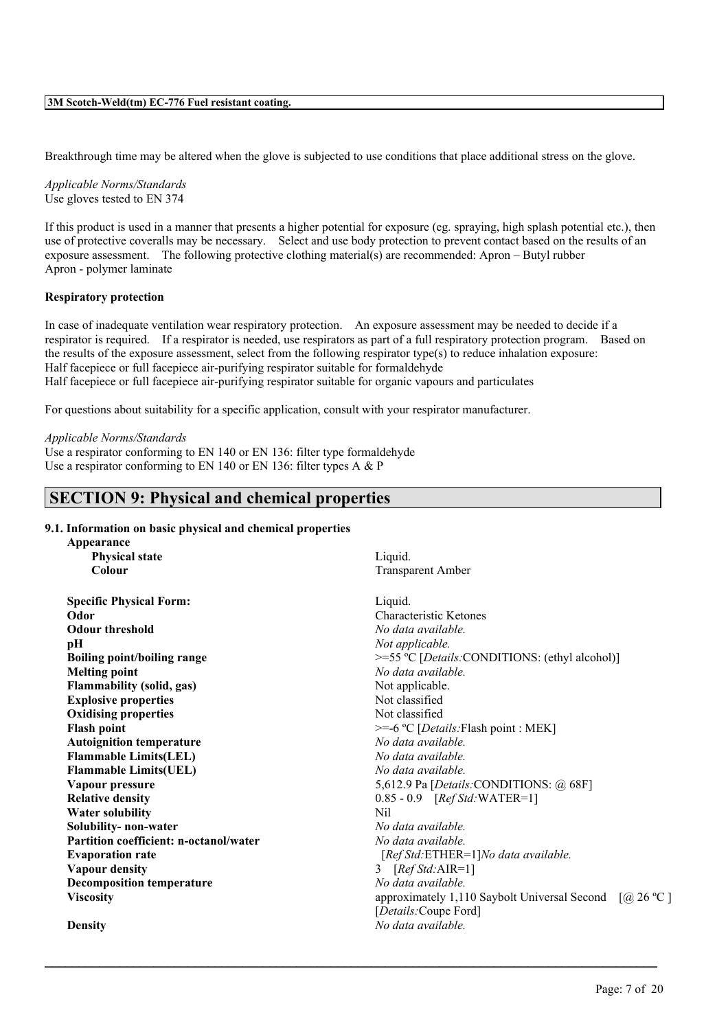Breakthrough time may be altered when the glove is subjected to use conditions that place additional stress on the glove.

*Applicable Norms/Standards* Use gloves tested to EN 374

If this product is used in a manner that presents a higher potential for exposure (eg. spraying, high splash potential etc.), then use of protective coveralls may be necessary. Select and use body protection to prevent contact based on the results of an exposure assessment. The following protective clothing material(s) are recommended: Apron – Butyl rubber Apron - polymer laminate

#### **Respiratory protection**

In case of inadequate ventilation wear respiratory protection. An exposure assessment may be needed to decide if a respirator is required. If a respirator is needed, use respirators as part of a full respiratory protection program. Based on the results of the exposure assessment, select from the following respirator type(s) to reduce inhalation exposure: Half facepiece or full facepiece air-purifying respirator suitable for formaldehyde Half facepiece or full facepiece air-purifying respirator suitable for organic vapours and particulates

 $\mathcal{L}_\mathcal{L} = \mathcal{L}_\mathcal{L} = \mathcal{L}_\mathcal{L} = \mathcal{L}_\mathcal{L} = \mathcal{L}_\mathcal{L} = \mathcal{L}_\mathcal{L} = \mathcal{L}_\mathcal{L} = \mathcal{L}_\mathcal{L} = \mathcal{L}_\mathcal{L} = \mathcal{L}_\mathcal{L} = \mathcal{L}_\mathcal{L} = \mathcal{L}_\mathcal{L} = \mathcal{L}_\mathcal{L} = \mathcal{L}_\mathcal{L} = \mathcal{L}_\mathcal{L} = \mathcal{L}_\mathcal{L} = \mathcal{L}_\mathcal{L}$ 

For questions about suitability for a specific application, consult with your respirator manufacturer.

#### *Applicable Norms/Standards*

Use a respirator conforming to EN 140 or EN 136: filter type formaldehyde Use a respirator conforming to EN 140 or EN 136: filter types A & P

# **SECTION 9: Physical and chemical properties**

### **9.1. Information on basic physical and chemical properties**

| Appearance                             |                                                   |
|----------------------------------------|---------------------------------------------------|
| <b>Physical state</b>                  | Liquid.                                           |
| Colour                                 | <b>Transparent An</b>                             |
| <b>Specific Physical Form:</b>         | Liquid.                                           |
| Odor                                   | Characteristic F                                  |
| <b>Odour threshold</b>                 | No data availal                                   |
| pН                                     | Not applicable.                                   |
| <b>Boiling point/boiling range</b>     | $>=55 °C$ [Detai                                  |
| <b>Melting point</b>                   | No data availal                                   |
| <b>Flammability (solid, gas)</b>       | Not applicable.                                   |
| <b>Explosive properties</b>            | Not classified                                    |
| <b>Oxidising properties</b>            | Not classified                                    |
| <b>Flash point</b>                     | $>=-6 °C$ [Detail                                 |
| <b>Autoignition temperature</b>        | No data availal                                   |
| <b>Flammable Limits(LEL)</b>           | No data availal                                   |
| <b>Flammable Limits(UEL)</b>           | No data availal                                   |
| Vapour pressure                        | 5,612.9 Pa [Dei                                   |
| <b>Relative density</b>                | $0.85 - 0.9$ [Re                                  |
| <b>Water solubility</b>                | Nil                                               |
| Solubility- non-water                  | No data availal                                   |
| Partition coefficient: n-octanol/water | No data availal                                   |
| <b>Evaporation rate</b>                | [RefStd:ETH]                                      |
| <b>Vapour density</b>                  | 3 $[RefStd:AI]$                                   |
| <b>Decomposition temperature</b>       | No data availal                                   |
| <b>Viscosity</b>                       | approximately<br>$\Gamma_{\text{Data}}$ ila Coung |

arent Amber

*deristic* Ketones **Odour threshold** *No data available.* **B** [*Details:*CONDITIONS: (ethyl alcohol)] **Melting point** *No data available.*  $\mathbb{C}$  [*Details:*Flash point : MEK] **Autoignition temperature** *No data available.* **Flammable Limits(LEL)** *No data available.* **Flammable Limits(UEL)** *No data available.* Pa [*Details:CONDITIONS: @ 68F] Ref Std:* **WATER=1] Solubility- non-water** *No data available.* **Partition coefficient: n-octanol/water** *No data available.* **Evaporation rate** [*Ref Std:*ETHER=1]*No data available.* **Vapour density** 3 [*Ref Std:*AIR=1] **Decomposition temperature** *No data available.* **Via imately** 1,110 Saybolt Universal Second  $[@, 26 \text{ °C}]$ [*Details:*Coupe Ford] **Density** *No data available.*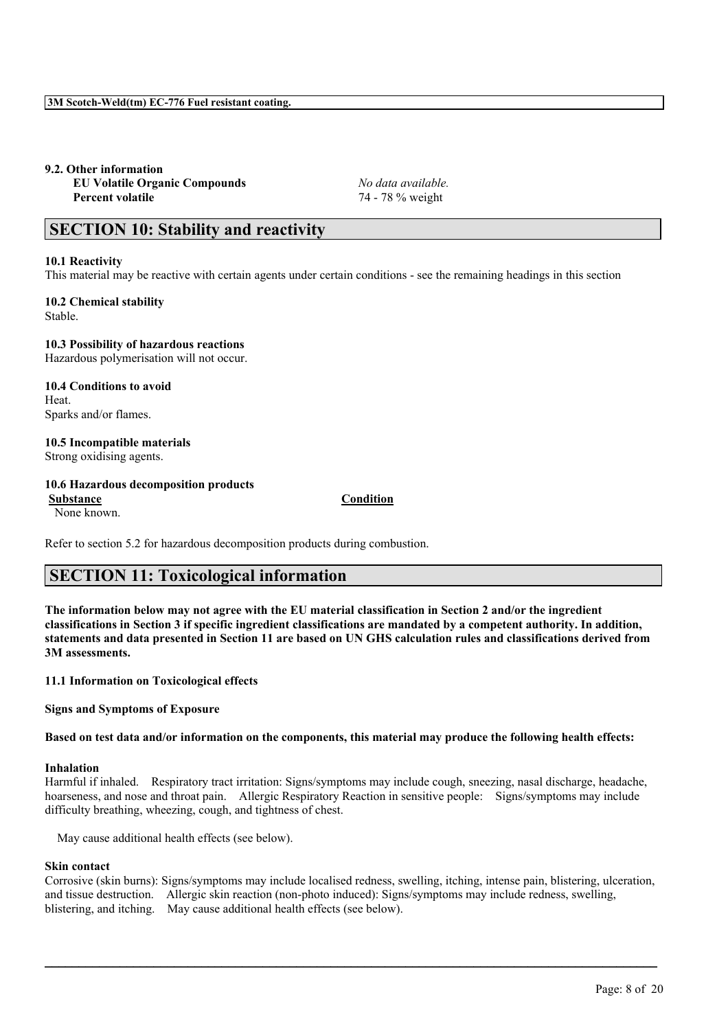# **9.2. Other information**

**EU Volatile Organic Compounds** *No data available.* **Percent volatile** 74 - 78 % weight

# **SECTION 10: Stability and reactivity**

## **10.1 Reactivity**

This material may be reactive with certain agents under certain conditions - see the remaining headings in this section

**10.2 Chemical stability** Stable.

**10.3 Possibility of hazardous reactions** Hazardous polymerisation will not occur.

**10.4 Conditions to avoid Heat** Sparks and/or flames.

**10.5 Incompatible materials** Strong oxidising agents.

#### **10.6 Hazardous decomposition products Substance Condition**

None known.

Refer to section 5.2 for hazardous decomposition products during combustion.

# **SECTION 11: Toxicological information**

The information below may not agree with the EU material classification in Section 2 and/or the ingredient classifications in Section 3 if specific ingredient classifications are mandated by a competent authority. In addition, statements and data presented in Section 11 are based on UN GHS calculation rules and classifications derived from **3M assessments.**

## **11.1 Information on Toxicological effects**

**Signs and Symptoms of Exposure**

Based on test data and/or information on the components, this material may produce the following health effects:

## **Inhalation**

Harmful if inhaled. Respiratory tract irritation: Signs/symptoms may include cough, sneezing, nasal discharge, headache, hoarseness, and nose and throat pain. Allergic Respiratory Reaction in sensitive people: Signs/symptoms may include difficulty breathing, wheezing, cough, and tightness of chest.

May cause additional health effects (see below).

## **Skin contact**

Corrosive (skin burns): Signs/symptoms may include localised redness, swelling, itching, intense pain, blistering, ulceration, and tissue destruction. Allergic skin reaction (non-photo induced): Signs/symptoms may include redness, swelling, blistering, and itching. May cause additional health effects (see below).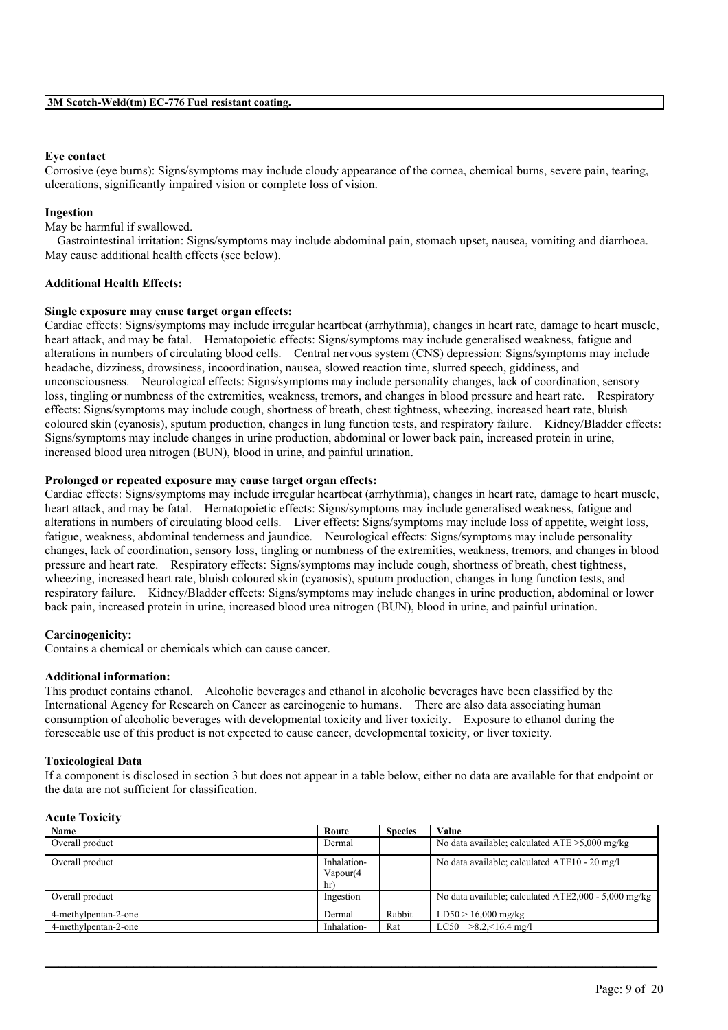### **Eye contact**

Corrosive (eye burns): Signs/symptoms may include cloudy appearance of the cornea, chemical burns, severe pain, tearing, ulcerations, significantly impaired vision or complete loss of vision.

#### **Ingestion**

May be harmful if swallowed.

Gastrointestinal irritation: Signs/symptoms may include abdominal pain, stomach upset, nausea, vomiting and diarrhoea. May cause additional health effects (see below).

#### **Additional Health Effects:**

#### **Single exposure may cause target organ effects:**

Cardiac effects: Signs/symptoms may include irregular heartbeat (arrhythmia), changes in heart rate, damage to heart muscle, heart attack, and may be fatal. Hematopoietic effects: Signs/symptoms may include generalised weakness, fatigue and alterations in numbers of circulating blood cells. Central nervous system (CNS) depression: Signs/symptoms may include headache, dizziness, drowsiness, incoordination, nausea, slowed reaction time, slurred speech, giddiness, and unconsciousness. Neurological effects: Signs/symptoms may include personality changes, lack of coordination, sensory loss, tingling or numbness of the extremities, weakness, tremors, and changes in blood pressure and heart rate. Respiratory effects: Signs/symptoms may include cough, shortness of breath, chest tightness, wheezing, increased heart rate, bluish coloured skin (cyanosis), sputum production, changes in lung function tests, and respiratory failure. Kidney/Bladder effects: Signs/symptoms may include changes in urine production, abdominal or lower back pain, increased protein in urine, increased blood urea nitrogen (BUN), blood in urine, and painful urination.

#### **Prolonged or repeated exposure may cause target organ effects:**

Cardiac effects: Signs/symptoms may include irregular heartbeat (arrhythmia), changes in heart rate, damage to heart muscle, heart attack, and may be fatal. Hematopoietic effects: Signs/symptoms may include generalised weakness, fatigue and alterations in numbers of circulating blood cells. Liver effects: Signs/symptoms may include loss of appetite, weight loss, fatigue, weakness, abdominal tenderness and jaundice. Neurological effects: Signs/symptoms may include personality changes, lack of coordination, sensory loss, tingling or numbness of the extremities, weakness, tremors, and changes in blood pressure and heart rate. Respiratory effects: Signs/symptoms may include cough, shortness of breath, chest tightness, wheezing, increased heart rate, bluish coloured skin (cyanosis), sputum production, changes in lung function tests, and respiratory failure. Kidney/Bladder effects: Signs/symptoms may include changes in urine production, abdominal or lower back pain, increased protein in urine, increased blood urea nitrogen (BUN), blood in urine, and painful urination.

## **Carcinogenicity:**

Contains a chemical or chemicals which can cause cancer.

#### **Additional information:**

This product contains ethanol. Alcoholic beverages and ethanol in alcoholic beverages have been classified by the International Agency for Research on Cancer as carcinogenic to humans. There are also data associating human consumption of alcoholic beverages with developmental toxicity and liver toxicity. Exposure to ethanol during the foreseeable use of this product is not expected to cause cancer, developmental toxicity, or liver toxicity.

#### **Toxicological Data**

If a component is disclosed in section 3 but does not appear in a table below, either no data are available for that endpoint or the data are not sufficient for classification.

#### **Acute Toxicity**

| Name                 | Route                           | <b>Species</b> | Value                                                  |
|----------------------|---------------------------------|----------------|--------------------------------------------------------|
| Overall product      | Dermal                          |                | No data available; calculated $ATE > 5,000$ mg/kg      |
| Overall product      | Inhalation-<br>Vapour(4)<br>hr) |                | No data available; calculated ATE10 - 20 mg/l          |
| Overall product      | Ingestion                       |                | No data available; calculated $ATE2,000 - 5,000$ mg/kg |
| 4-methylpentan-2-one | Dermal                          | Rabbit         | $LD50 > 16,000$ mg/kg                                  |
| 4-methylpentan-2-one | Inhalation-                     | Rat            | $LC50$ >8.2. < 16.4 mg/l                               |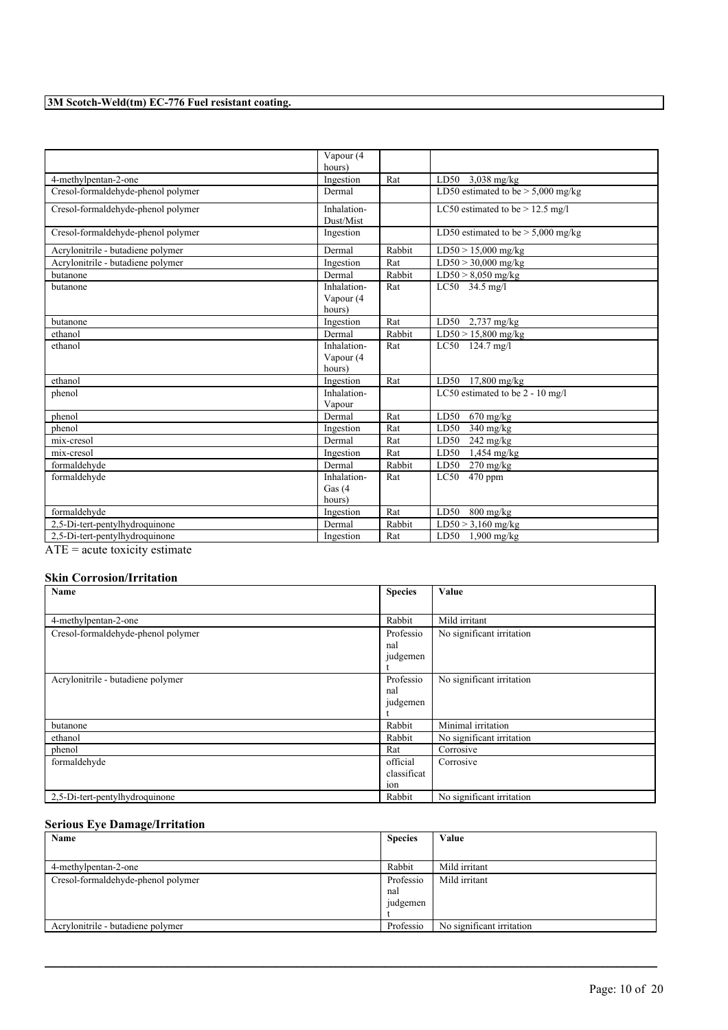|                                                                                                                    | Vapour (4   |        |                                      |
|--------------------------------------------------------------------------------------------------------------------|-------------|--------|--------------------------------------|
|                                                                                                                    | hours)      |        |                                      |
| 4-methylpentan-2-one                                                                                               | Ingestion   | Rat    | LD50 $3,038$ mg/kg                   |
| Cresol-formaldehyde-phenol polymer                                                                                 | Dermal      |        | LD50 estimated to be $> 5,000$ mg/kg |
| Cresol-formaldehyde-phenol polymer                                                                                 | Inhalation- |        | LC50 estimated to be $> 12.5$ mg/l   |
|                                                                                                                    | Dust/Mist   |        |                                      |
| Cresol-formaldehyde-phenol polymer                                                                                 | Ingestion   |        | LD50 estimated to be $> 5,000$ mg/kg |
| Acrylonitrile - butadiene polymer                                                                                  | Dermal      | Rabbit | $LD50 > 15,000$ mg/kg                |
| Acrylonitrile - butadiene polymer                                                                                  | Ingestion   | Rat    | $LD50 > 30,000$ mg/kg                |
| butanone                                                                                                           | Dermal      | Rabbit | $LD50 > 8,050$ mg/kg                 |
| butanone                                                                                                           | Inhalation- | Rat    | $LC50$ 34.5 mg/l                     |
|                                                                                                                    | Vapour (4   |        |                                      |
|                                                                                                                    | hours)      |        |                                      |
| butanone                                                                                                           | Ingestion   | Rat    | LD50 $2,737 \text{ mg/kg}$           |
| ethanol                                                                                                            | Dermal      | Rabbit | $LD50 > 15,800$ mg/kg                |
| ethanol                                                                                                            | Inhalation- | Rat    | LC50 124.7 mg/l                      |
|                                                                                                                    | Vapour (4   |        |                                      |
|                                                                                                                    | hours)      |        |                                      |
| ethanol                                                                                                            | Ingestion   | Rat    | LD50 17,800 mg/kg                    |
| phenol                                                                                                             | Inhalation- |        | LC50 estimated to be 2 - 10 mg/l     |
|                                                                                                                    | Vapour      |        |                                      |
| phenol                                                                                                             | Dermal      | Rat    | LD50<br>$670$ mg/kg                  |
| phenol                                                                                                             | Ingestion   | Rat    | LD50<br>$340$ mg/kg                  |
| mix-cresol                                                                                                         | Dermal      | Rat    | LD50<br>$242 \text{ mg/kg}$          |
| mix-cresol                                                                                                         | Ingestion   | Rat    | LD50<br>$1,454$ mg/kg                |
| formaldehyde                                                                                                       | Dermal      | Rabbit | LD50<br>$270 \text{ mg/kg}$          |
| formaldehyde                                                                                                       | Inhalation- | Rat    | LC50 470 ppm                         |
|                                                                                                                    | Gas $(4)$   |        |                                      |
|                                                                                                                    | hours)      |        |                                      |
| formaldehyde                                                                                                       | Ingestion   | Rat    | LD50<br>$800$ mg/kg                  |
| 2,5-Di-tert-pentylhydroquinone                                                                                     | Dermal      | Rabbit | $LD50 > 3,160$ mg/kg                 |
| 2,5-Di-tert-pentylhydroquinone                                                                                     | Ingestion   | Rat    | $LD50$ 1,900 mg/kg                   |
| comments and a second control of the second second control of the second second second second second second second |             |        |                                      |

ATE = acute toxicity estimate

# **Skin Corrosion/Irritation**

| Name                               | <b>Species</b> | Value                     |
|------------------------------------|----------------|---------------------------|
|                                    |                |                           |
| 4-methylpentan-2-one               | Rabbit         | Mild irritant             |
| Cresol-formaldehyde-phenol polymer | Professio      | No significant irritation |
|                                    | nal            |                           |
|                                    | judgemen       |                           |
|                                    |                |                           |
| Acrylonitrile - butadiene polymer  | Professio      | No significant irritation |
|                                    | nal            |                           |
|                                    | judgemen       |                           |
|                                    |                |                           |
| butanone                           | Rabbit         | Minimal irritation        |
| ethanol                            | Rabbit         | No significant irritation |
| phenol                             | Rat            | Corrosive                 |
| formaldehyde                       | official       | Corrosive                 |
|                                    | classificat    |                           |
|                                    | ion            |                           |
| 2,5-Di-tert-pentylhydroquinone     | Rabbit         | No significant irritation |

# **Serious Eye Damage/Irritation**

| Name                               | <b>Species</b> | Value                     |
|------------------------------------|----------------|---------------------------|
|                                    |                |                           |
| 4-methylpentan-2-one               | Rabbit         | Mild irritant             |
| Cresol-formaldehyde-phenol polymer | Professio      | Mild irritant             |
|                                    | nal            |                           |
|                                    | judgemen       |                           |
|                                    |                |                           |
| Acrylonitrile - butadiene polymer  | Professio      | No significant irritation |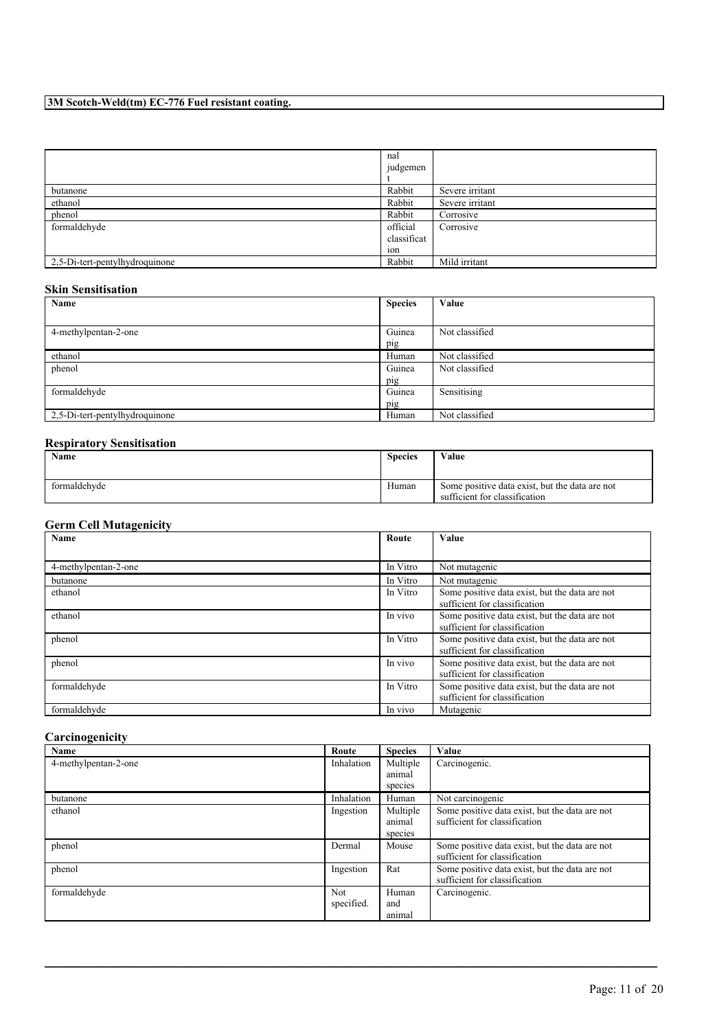|                                | nal<br>judgemen                |                 |
|--------------------------------|--------------------------------|-----------------|
| butanone                       | Rabbit                         | Severe irritant |
| ethanol                        | Rabbit                         | Severe irritant |
| phenol                         | Rabbit                         | Corrosive       |
| formaldehyde                   | official<br>classificat<br>10n | Corrosive       |
| 2,5-Di-tert-pentylhydroquinone | Rabbit                         | Mild irritant   |

# **Skin Sensitisation**

| Name                           | <b>Species</b> | Value          |
|--------------------------------|----------------|----------------|
|                                |                |                |
| 4-methylpentan-2-one           | Guinea         | Not classified |
|                                | pig            |                |
| ethanol                        | Human          | Not classified |
| phenol                         | Guinea         | Not classified |
|                                | pig            |                |
| formaldehyde                   | Guinea         | Sensitising    |
|                                | pig            |                |
| 2,5-Di-tert-pentylhydroquinone | Human          | Not classified |

## **Respiratory Sensitisation**

| Name         | <b>Species</b> | Value                                                                           |
|--------------|----------------|---------------------------------------------------------------------------------|
| formaldehyde | Human          | Some positive data exist, but the data are not<br>sufficient for classification |

# **Germ Cell Mutagenicity**

| <b>Name</b>          | Route    | <b>Value</b>                                                                    |
|----------------------|----------|---------------------------------------------------------------------------------|
|                      |          |                                                                                 |
| 4-methylpentan-2-one | In Vitro | Not mutagenic                                                                   |
| butanone             | In Vitro | Not mutagenic                                                                   |
| ethanol              | In Vitro | Some positive data exist, but the data are not<br>sufficient for classification |
| ethanol              | In vivo  | Some positive data exist, but the data are not<br>sufficient for classification |
| phenol               | In Vitro | Some positive data exist, but the data are not<br>sufficient for classification |
| phenol               | In vivo  | Some positive data exist, but the data are not<br>sufficient for classification |
| formaldehyde         | In Vitro | Some positive data exist, but the data are not<br>sufficient for classification |
| formaldehyde         | In vivo  | Mutagenic                                                                       |

# **Carcinogenicity**

| Name                 | Route      | <b>Species</b> | Value                                          |
|----------------------|------------|----------------|------------------------------------------------|
| 4-methylpentan-2-one | Inhalation | Multiple       | Carcinogenic.                                  |
|                      |            | animal         |                                                |
|                      |            | species        |                                                |
| butanone             | Inhalation | Human          | Not carcinogenic                               |
| ethanol              | Ingestion  | Multiple       | Some positive data exist, but the data are not |
|                      |            | animal         | sufficient for classification                  |
|                      |            | species        |                                                |
| phenol               | Dermal     | Mouse          | Some positive data exist, but the data are not |
|                      |            |                | sufficient for classification                  |
| phenol               | Ingestion  | Rat            | Some positive data exist, but the data are not |
|                      |            |                | sufficient for classification                  |
| formaldehyde         | Not        | Human          | Carcinogenic.                                  |
|                      | specified. | and            |                                                |
|                      |            | animal         |                                                |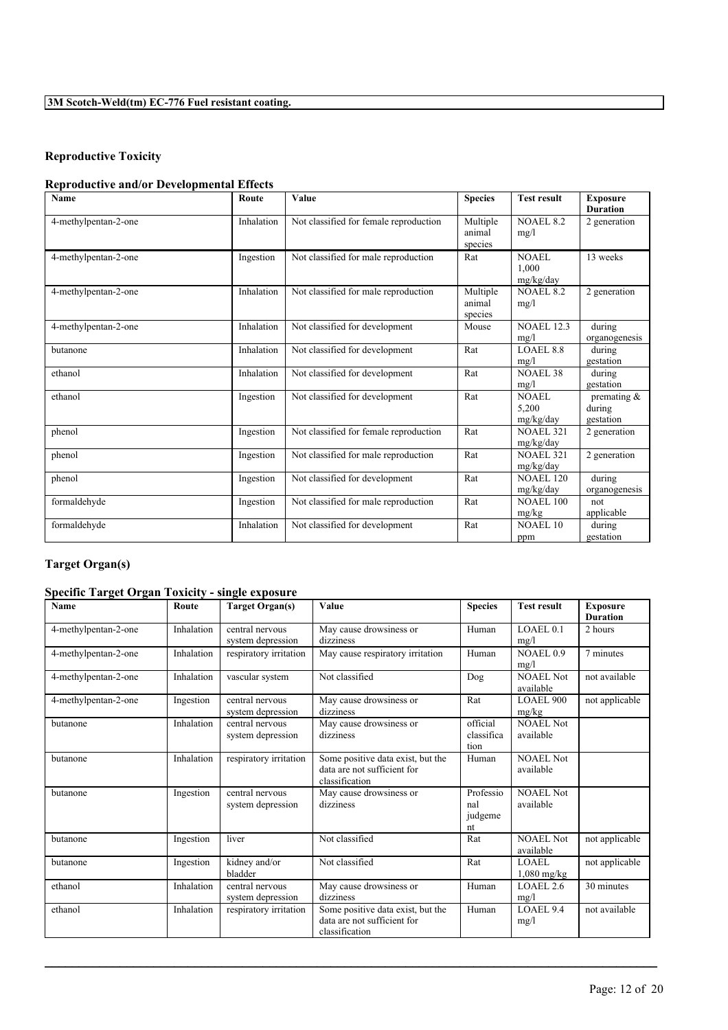# **Reproductive Toxicity**

# **Reproductive and/or Developmental Effects**

| <b>Name</b>          | Route      | Value                                  | <b>Species</b>     | <b>Test result</b>                 | <b>Exposure</b>                    |
|----------------------|------------|----------------------------------------|--------------------|------------------------------------|------------------------------------|
| 4-methylpentan-2-one | Inhalation | Not classified for female reproduction | Multiple<br>animal | <b>NOAEL 8.2</b><br>mg/l           | <b>Duration</b><br>2 generation    |
| 4-methylpentan-2-one | Ingestion  | Not classified for male reproduction   | species<br>Rat     | NOAEL<br>1.000                     | 13 weeks                           |
| 4-methylpentan-2-one | Inhalation | Not classified for male reproduction   | Multiple           | mg/kg/day<br><b>NOAEL 8.2</b>      | 2 generation                       |
|                      |            |                                        | animal<br>species  | mg/l                               |                                    |
| 4-methylpentan-2-one | Inhalation | Not classified for development         | Mouse              | <b>NOAEL 12.3</b><br>mg/l          | during<br>organogenesis            |
| butanone             | Inhalation | Not classified for development         | Rat                | <b>LOAEL 8.8</b><br>mg/l           | during<br>gestation                |
| ethanol              | Inhalation | Not classified for development         | Rat                | <b>NOAEL 38</b><br>mg/l            | during<br>gestation                |
| ethanol              | Ingestion  | Not classified for development         | Rat                | <b>NOAEL</b><br>5,200<br>mg/kg/day | premating &<br>during<br>gestation |
| phenol               | Ingestion  | Not classified for female reproduction | Rat                | <b>NOAEL 321</b><br>mg/kg/day      | 2 generation                       |
| phenol               | Ingestion  | Not classified for male reproduction   | Rat                | <b>NOAEL 321</b><br>mg/kg/day      | 2 generation                       |
| phenol               | Ingestion  | Not classified for development         | Rat                | <b>NOAEL 120</b><br>mg/kg/day      | during<br>organogenesis            |
| formaldehyde         | Ingestion  | Not classified for male reproduction   | Rat                | <b>NOAEL 100</b><br>mg/kg          | not<br>applicable                  |
| formaldehyde         | Inhalation | Not classified for development         | Rat                | <b>NOAEL 10</b><br>ppm             | during<br>gestation                |

# **Target Organ(s)**

# **Specific Target Organ Toxicity - single exposure**

| Name                 | Route      | <b>Target Organ(s)</b>               | Value                                                                              | <b>Species</b>                    | <b>Test result</b>            | <b>Exposure</b><br><b>Duration</b> |
|----------------------|------------|--------------------------------------|------------------------------------------------------------------------------------|-----------------------------------|-------------------------------|------------------------------------|
| 4-methylpentan-2-one | Inhalation | central nervous<br>system depression | May cause drowsiness or<br>dizziness                                               | Human                             | LOAEL0.1<br>mg/l              | 2 hours                            |
| 4-methylpentan-2-one | Inhalation | respiratory irritation               | May cause respiratory irritation                                                   | Human                             | NOAEL 0.9<br>mg/l             | 7 minutes                          |
| 4-methylpentan-2-one | Inhalation | vascular system                      | Not classified                                                                     | Dog                               | <b>NOAEL Not</b><br>available | not available                      |
| 4-methylpentan-2-one | Ingestion  | central nervous<br>system depression | May cause drowsiness or<br>dizziness                                               | Rat                               | LOAEL 900<br>mg/kg            | not applicable                     |
| butanone             | Inhalation | central nervous<br>system depression | May cause drowsiness or<br>dizziness                                               | official<br>classifica<br>tion    | NOAEL Not<br>available        |                                    |
| butanone             | Inhalation | respiratory irritation               | Some positive data exist, but the<br>data are not sufficient for<br>classification | Human                             | NOAEL Not<br>available        |                                    |
| butanone             | Ingestion  | central nervous<br>system depression | May cause drowsiness or<br>dizziness                                               | Professio<br>nal<br>judgeme<br>nt | <b>NOAEL Not</b><br>available |                                    |
| butanone             | Ingestion  | liver                                | Not classified                                                                     | Rat                               | <b>NOAEL Not</b><br>available | not applicable                     |
| butanone             | Ingestion  | kidney and/or<br>bladder             | Not classified                                                                     | Rat                               | <b>LOAEL</b><br>$1,080$ mg/kg | not applicable                     |
| ethanol              | Inhalation | central nervous<br>system depression | May cause drowsiness or<br>dizziness                                               | Human                             | LOAEL 2.6<br>mg/l             | 30 minutes                         |
| ethanol              | Inhalation | respiratory irritation               | Some positive data exist, but the<br>data are not sufficient for<br>classification | Human                             | LOAEL 9.4<br>mg/l             | not available                      |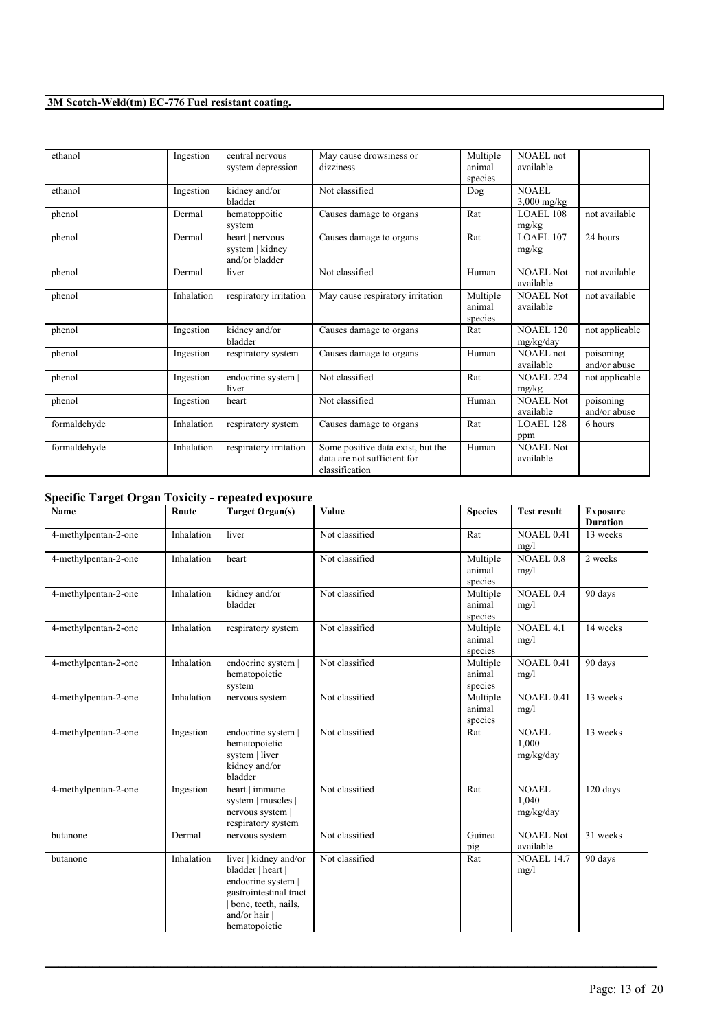| ethanol      | Ingestion  | central nervous<br>system depression                 | May cause drowsiness or<br>dizziness                                               | Multiple<br>animal<br>species | NOAEL not<br>available        |                           |
|--------------|------------|------------------------------------------------------|------------------------------------------------------------------------------------|-------------------------------|-------------------------------|---------------------------|
| ethanol      | Ingestion  | kidney and/or<br>bladder                             | Not classified                                                                     | Dog                           | NOAEL<br>$3,000$ mg/kg        |                           |
| phenol       | Dermal     | hematoppoitic<br>system                              | Causes damage to organs                                                            | Rat                           | LOAEL 108<br>mg/kg            | not available             |
| phenol       | Dermal     | heart   nervous<br>system   kidney<br>and/or bladder | Causes damage to organs                                                            | Rat                           | LOAEL 107<br>mg/kg            | 24 hours                  |
| phenol       | Dermal     | liver                                                | Not classified                                                                     | Human                         | NOAEL Not<br>available        | not available             |
| phenol       | Inhalation | respiratory irritation                               | May cause respiratory irritation                                                   | Multiple<br>animal<br>species | <b>NOAEL Not</b><br>available | not available             |
| phenol       | Ingestion  | kidney and/or<br>bladder                             | Causes damage to organs                                                            | Rat                           | <b>NOAEL 120</b><br>mg/kg/day | not applicable            |
| phenol       | Ingestion  | respiratory system                                   | Causes damage to organs                                                            | Human                         | NOAEL not<br>available        | poisoning<br>and/or abuse |
| phenol       | Ingestion  | endocrine system  <br>liver                          | Not classified                                                                     | Rat                           | <b>NOAEL 224</b><br>mg/kg     | not applicable            |
| phenol       | Ingestion  | heart                                                | Not classified                                                                     | Human                         | <b>NOAEL Not</b><br>available | poisoning<br>and/or abuse |
| formaldehyde | Inhalation | respiratory system                                   | Causes damage to organs                                                            | Rat                           | <b>LOAEL 128</b><br>ppm       | 6 hours                   |
| formaldehyde | Inhalation | respiratory irritation                               | Some positive data exist, but the<br>data are not sufficient for<br>classification | Human                         | <b>NOAEL Not</b><br>available |                           |

# **Specific Target Organ Toxicity - repeated exposure**

| Name                 | Route      | <b>Target Organ(s)</b>                                                                                                                            | Value          | <b>Species</b>                | <b>Test result</b>                 | <b>Exposure</b><br><b>Duration</b> |
|----------------------|------------|---------------------------------------------------------------------------------------------------------------------------------------------------|----------------|-------------------------------|------------------------------------|------------------------------------|
| 4-methylpentan-2-one | Inhalation | liver                                                                                                                                             | Not classified | Rat                           | <b>NOAEL 0.41</b><br>mg/l          | 13 weeks                           |
| 4-methylpentan-2-one | Inhalation | heart                                                                                                                                             | Not classified | Multiple<br>animal<br>species | <b>NOAEL 0.8</b><br>mg/l           | 2 weeks                            |
| 4-methylpentan-2-one | Inhalation | kidney and/or<br>bladder                                                                                                                          | Not classified | Multiple<br>animal<br>species | <b>NOAEL 0.4</b><br>mg/l           | 90 days                            |
| 4-methylpentan-2-one | Inhalation | respiratory system                                                                                                                                | Not classified | Multiple<br>animal<br>species | NOAEL 4.1<br>mg/l                  | 14 weeks                           |
| 4-methylpentan-2-one | Inhalation | endocrine system  <br>hematopoietic<br>system                                                                                                     | Not classified | Multiple<br>animal<br>species | <b>NOAEL 0.41</b><br>mg/l          | 90 days                            |
| 4-methylpentan-2-one | Inhalation | nervous system                                                                                                                                    | Not classified | Multiple<br>animal<br>species | <b>NOAEL 0.41</b><br>mg/l          | 13 weeks                           |
| 4-methylpentan-2-one | Ingestion  | endocrine system  <br>hematopoietic<br>system   liver  <br>kidney and/or<br>bladder                                                               | Not classified | Rat                           | <b>NOAEL</b><br>1,000<br>mg/kg/day | 13 weeks                           |
| 4-methylpentan-2-one | Ingestion  | heart   immune<br>system   muscles  <br>nervous system  <br>respiratory system                                                                    | Not classified | Rat                           | <b>NOAEL</b><br>1.040<br>mg/kg/day | 120 days                           |
| butanone             | Dermal     | nervous system                                                                                                                                    | Not classified | Guinea<br>pig                 | <b>NOAEL Not</b><br>available      | 31 weeks                           |
| butanone             | Inhalation | liver   kidney and/or<br>bladder   heart  <br>endocrine system  <br>gastrointestinal tract<br>bone, teeth, nails,<br>and/or hair<br>hematopoietic | Not classified | Rat                           | <b>NOAEL 14.7</b><br>mg/l          | 90 days                            |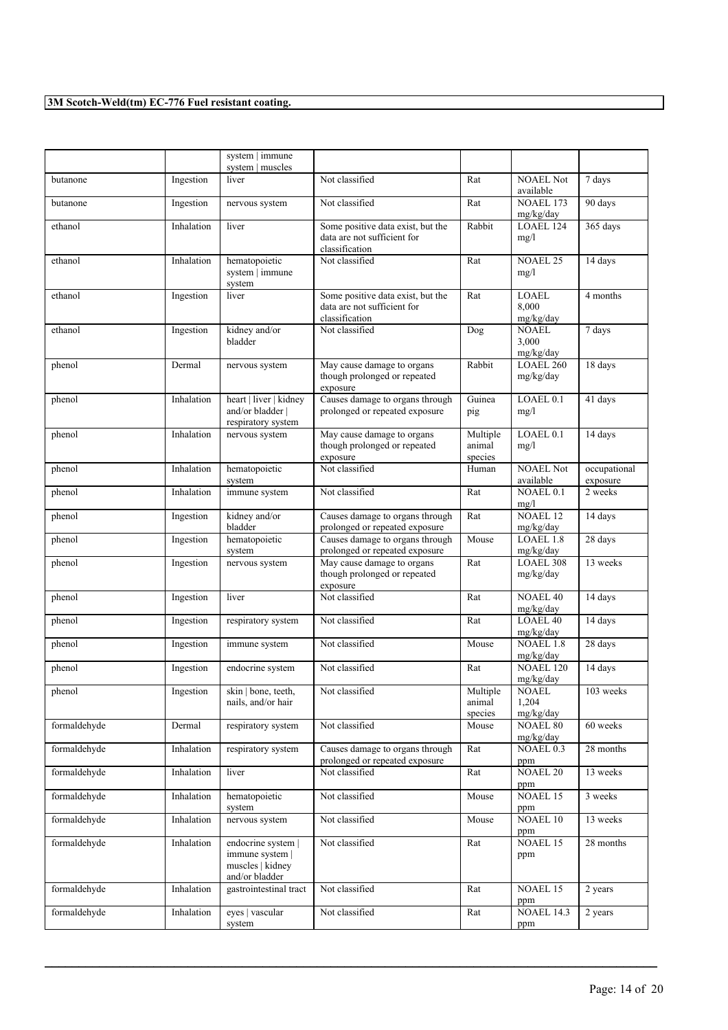|              |            | system   immune<br>system   muscles                                         |                                                                                    |                               |                                    |                          |
|--------------|------------|-----------------------------------------------------------------------------|------------------------------------------------------------------------------------|-------------------------------|------------------------------------|--------------------------|
| butanone     | Ingestion  | liver                                                                       | Not classified                                                                     | Rat                           | <b>NOAEL Not</b><br>available      | 7 days                   |
| butanone     | Ingestion  | nervous system                                                              | Not classified                                                                     | Rat                           | <b>NOAEL 173</b><br>mg/kg/day      | 90 days                  |
| ethanol      | Inhalation | liver                                                                       | Some positive data exist, but the<br>data are not sufficient for<br>classification | Rabbit                        | LOAEL 124<br>mg/l                  | 365 days                 |
| ethanol      | Inhalation | hematopoietic<br>system   immune<br>system                                  | Not classified                                                                     | Rat                           | <b>NOAEL 25</b><br>mg/l            | 14 days                  |
| ethanol      | Ingestion  | liver                                                                       | Some positive data exist, but the<br>data are not sufficient for<br>classification | Rat                           | LOAEL<br>8,000<br>mg/kg/day        | 4 months                 |
| ethanol      | Ingestion  | kidney and/or<br>bladder                                                    | Not classified                                                                     | Dog                           | <b>NOAEL</b><br>3,000<br>mg/kg/day | 7 days                   |
| phenol       | Dermal     | nervous system                                                              | May cause damage to organs<br>though prolonged or repeated<br>exposure             | Rabbit                        | <b>LOAEL 260</b><br>mg/kg/day      | 18 days                  |
| phenol       | Inhalation | heart   liver   kidney<br>and/or bladder  <br>respiratory system            | Causes damage to organs through<br>prolonged or repeated exposure                  | Guinea<br>pig                 | LOAEL 0.1<br>mg/l                  | 41 days                  |
| phenol       | Inhalation | nervous system                                                              | May cause damage to organs<br>though prolonged or repeated<br>exposure             | Multiple<br>animal<br>species | LOAEL <sub>0.1</sub><br>mg/l       | 14 days                  |
| phenol       | Inhalation | hematopoietic<br>system                                                     | Not classified                                                                     | Human                         | <b>NOAEL Not</b><br>available      | occupational<br>exposure |
| phenol       | Inhalation | immune system                                                               | Not classified                                                                     | Rat                           | <b>NOAEL 0.1</b><br>mg/l           | 2 weeks                  |
| phenol       | Ingestion  | kidney and/or<br>bladder                                                    | Causes damage to organs through<br>prolonged or repeated exposure                  | Rat                           | <b>NOAEL 12</b><br>mg/kg/day       | 14 days                  |
| phenol       | Ingestion  | hematopoietic<br>system                                                     | Causes damage to organs through<br>prolonged or repeated exposure                  | Mouse                         | LOAEL 1.8<br>mg/kg/day             | 28 days                  |
| phenol       | Ingestion  | nervous system                                                              | May cause damage to organs<br>though prolonged or repeated<br>exposure             | Rat                           | LOAEL 308<br>mg/kg/day             | 13 weeks                 |
| phenol       | Ingestion  | liver                                                                       | Not classified                                                                     | Rat                           | <b>NOAEL 40</b><br>mg/kg/day       | 14 days                  |
| phenol       | Ingestion  | respiratory system                                                          | Not classified                                                                     | Rat                           | <b>LOAEL 40</b><br>mg/kg/day       | 14 days                  |
| phenol       | Ingestion  | immune system                                                               | Not classified                                                                     | Mouse                         | <b>NOAEL 1.8</b><br>mg/kg/day      | 28 days                  |
| phenol       | Ingestion  | endocrine system                                                            | Not classified                                                                     | Rat                           | <b>NOAEL 120</b><br>mg/kg/day      | 14 days                  |
| phenol       | Ingestion  | skin   bone, teeth,<br>nails, and/or hair                                   | Not classified                                                                     | Multiple<br>animal<br>species | <b>NOAEL</b><br>1,204<br>mg/kg/day | 103 weeks                |
| formaldehyde | Dermal     | respiratory system                                                          | Not classified                                                                     | Mouse                         | <b>NOAEL 80</b><br>mg/kg/day       | 60 weeks                 |
| formaldehyde | Inhalation | respiratory system                                                          | Causes damage to organs through<br>prolonged or repeated exposure                  | Rat                           | NOAEL 0.3<br>ppm                   | 28 months                |
| formaldehyde | Inhalation | liver                                                                       | Not classified                                                                     | Rat                           | <b>NOAEL 20</b><br>ppm             | 13 weeks                 |
| formaldehyde | Inhalation | hematopoietic<br>system                                                     | Not classified                                                                     | Mouse                         | NOAEL 15<br>ppm                    | 3 weeks                  |
| formaldehyde | Inhalation | nervous system                                                              | Not classified                                                                     | Mouse                         | NOAEL 10<br>ppm                    | 13 weeks                 |
| formaldehyde | Inhalation | endocrine system  <br>immune system  <br>muscles   kidney<br>and/or bladder | Not classified                                                                     | Rat                           | NOAEL <sub>15</sub><br>ppm         | 28 months                |
| formaldehyde | Inhalation | gastrointestinal tract                                                      | Not classified                                                                     | Rat                           | NOAEL 15<br>ppm                    | 2 years                  |
| formaldehyde | Inhalation | eyes   vascular<br>system                                                   | Not classified                                                                     | Rat                           | <b>NOAEL 14.3</b><br>ppm           | 2 years                  |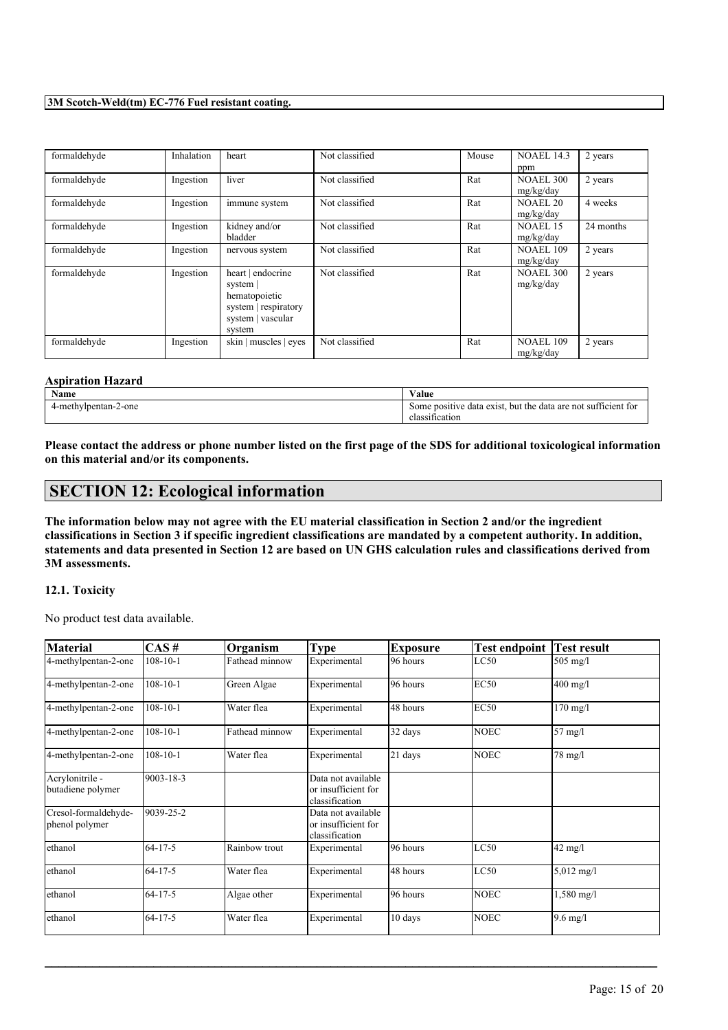| formaldehyde | Inhalation | heart                 | Not classified | Mouse | <b>NOAEL 14.3</b> | 2 years   |
|--------------|------------|-----------------------|----------------|-------|-------------------|-----------|
|              |            |                       |                |       | ppm               |           |
| formaldehyde | Ingestion  | liver                 | Not classified | Rat   | <b>NOAEL 300</b>  | 2 years   |
|              |            |                       |                |       | mg/kg/day         |           |
| formaldehyde | Ingestion  | immune system         | Not classified | Rat   | NOAEL 20          | 4 weeks   |
|              |            |                       |                |       | mg/kg/day         |           |
| formaldehyde | Ingestion  | kidney and/or         | Not classified | Rat   | <b>NOAEL 15</b>   | 24 months |
|              |            | bladder               |                |       | mg/kg/day         |           |
| formaldehyde | Ingestion  | nervous system        | Not classified | Rat   | <b>NOAEL 109</b>  | 2 years   |
|              |            |                       |                |       | mg/kg/day         |           |
| formaldehyde | Ingestion  | heart   endocrine     | Not classified | Rat   | <b>NOAEL 300</b>  | 2 years   |
|              |            | system                |                |       | mg/kg/day         |           |
|              |            | hematopoietic         |                |       |                   |           |
|              |            | system   respiratory  |                |       |                   |           |
|              |            | system   vascular     |                |       |                   |           |
|              |            | system                |                |       |                   |           |
| formaldehyde | Ingestion  | skin   muscles   eyes | Not classified | Rat   | <b>NOAEL 109</b>  | 2 years   |
|              |            |                       |                |       | mg/kg/day         |           |

#### **Aspiration Hazard**

| Name                               | . .<br>Value                                                                                  |
|------------------------------------|-----------------------------------------------------------------------------------------------|
| -2-one<br>-methylpentan-<br>$\sim$ | $\sim$<br>sufficient for<br>e data exist.<br>but the<br>data are<br>: not<br>Some<br>positive |
|                                    | fication<br>ciassi                                                                            |

Please contact the address or phone number listed on the first page of the SDS for additional toxicological information **on this material and/or its components.**

# **SECTION 12: Ecological information**

The information below may not agree with the EU material classification in Section 2 and/or the ingredient classifications in Section 3 if specific ingredient classifications are mandated by a competent authority. In addition, statements and data presented in Section 12 are based on UN GHS calculation rules and classifications derived from **3M assessments.**

#### **12.1. Toxicity**

No product test data available.

| Material                               | CAS#           | Organism       | <b>Type</b>                                                 | Exposure | <b>Test endpoint</b> | <b>Test result</b>   |
|----------------------------------------|----------------|----------------|-------------------------------------------------------------|----------|----------------------|----------------------|
| 4-methylpentan-2-one                   | $108 - 10 - 1$ | Fathead minnow | Experimental                                                | 96 hours | LC50                 | $505$ mg/l           |
| 4-methylpentan-2-one                   | $108 - 10 - 1$ | Green Algae    | Experimental                                                | 96 hours | <b>EC50</b>          | $400$ mg/l           |
| 4-methylpentan-2-one                   | $108 - 10 - 1$ | Water flea     | Experimental                                                | 48 hours | <b>EC50</b>          | $170$ mg/l           |
| 4-methylpentan-2-one                   | $108 - 10 - 1$ | Fathead minnow | Experimental                                                | 32 days  | <b>NOEC</b>          | $57$ mg/l            |
| 4-methylpentan-2-one                   | $108 - 10 - 1$ | Water flea     | Experimental                                                | 21 days  | <b>NOEC</b>          | 78 mg/l              |
| Acrylonitrile -<br>butadiene polymer   | 9003-18-3      |                | Data not available<br>or insufficient for<br>classification |          |                      |                      |
| Cresol-formaldehyde-<br>phenol polymer | 9039-25-2      |                | Data not available<br>or insufficient for<br>classification |          |                      |                      |
| ethanol                                | $64 - 17 - 5$  | Rainbow trout  | Experimental                                                | 96 hours | LC50                 | $42$ mg/l            |
| ethanol                                | $64 - 17 - 5$  | Water flea     | Experimental                                                | 48 hours | LC50                 | $5,012 \text{ mg/l}$ |
| ethanol                                | $64 - 17 - 5$  | Algae other    | Experimental                                                | 96 hours | <b>NOEC</b>          | $1,580 \text{ mg/l}$ |
| ethanol                                | $64 - 17 - 5$  | Water flea     | Experimental                                                | 10 days  | <b>NOEC</b>          | $9.6$ mg/l           |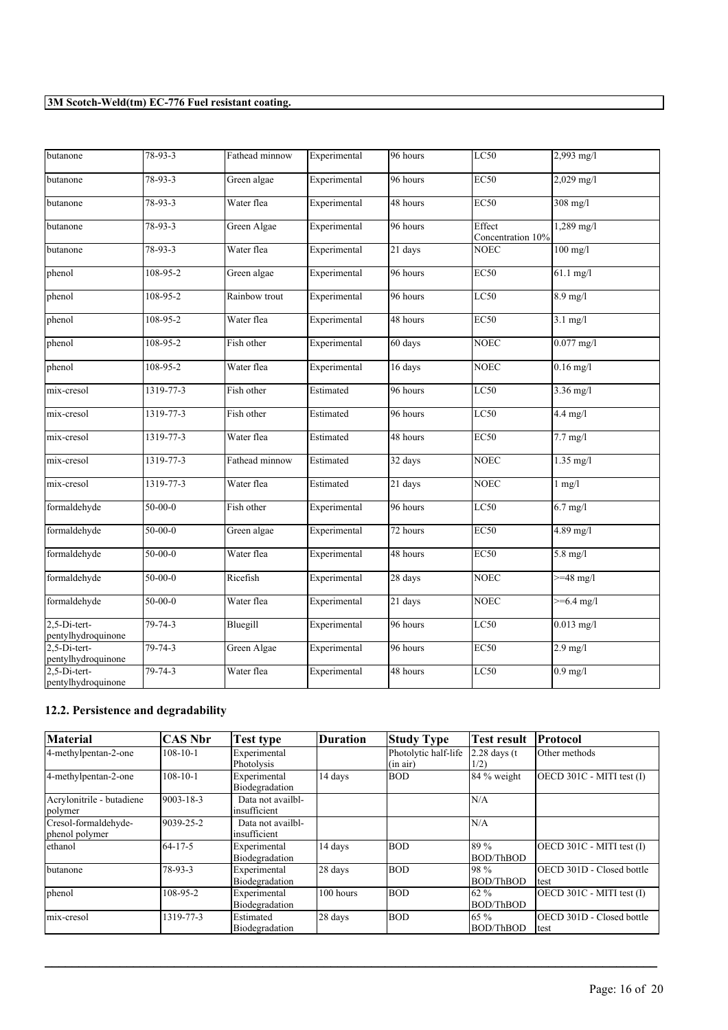| butanone                           | $78 - 93 - 3$  | Fathead minnow | Experimental | 96 hours | LC50                        | $2,993$ mg/l        |
|------------------------------------|----------------|----------------|--------------|----------|-----------------------------|---------------------|
| butanone                           | $78 - 93 - 3$  | Green algae    | Experimental | 96 hours | EC50                        | $2,029$ mg/l        |
| butanone                           | $78 - 93 - 3$  | Water flea     | Experimental | 48 hours | EC50                        | $308$ mg/l          |
| butanone                           | 78-93-3        | Green Algae    | Experimental | 96 hours | Effect<br>Concentration 10% | $1,289$ mg/l        |
| butanone                           | 78-93-3        | Water flea     | Experimental | 21 days  | <b>NOEC</b>                 | $100$ mg/l          |
| phenol                             | 108-95-2       | Green algae    | Experimental | 96 hours | <b>EC50</b>                 | $61.1$ mg/l         |
| phenol                             | 108-95-2       | Rainbow trout  | Experimental | 96 hours | LC50                        | $8.9$ mg/l          |
| phenol                             | 108-95-2       | Water flea     | Experimental | 48 hours | EC50                        | $3.1$ mg/l          |
| phenol                             | $108 - 95 - 2$ | Fish other     | Experimental | 60 days  | <b>NOEC</b>                 | $0.077$ mg/l        |
| phenol                             | 108-95-2       | Water flea     | Experimental | 16 days  | <b>NOEC</b>                 | $0.16$ mg/l         |
| mix-cresol                         | 1319-77-3      | Fish other     | Estimated    | 96 hours | LC50                        | $3.36 \text{ mg/l}$ |
| mix-cresol                         | 1319-77-3      | Fish other     | Estimated    | 96 hours | LC50                        | $4.4$ mg/l          |
| mix-cresol                         | 1319-77-3      | Water flea     | Estimated    | 48 hours | <b>EC50</b>                 | $7.7 \text{ mg/l}$  |
| mix-cresol                         | 1319-77-3      | Fathead minnow | Estimated    | 32 days  | <b>NOEC</b>                 | $1.35$ mg/l         |
| mix-cresol                         | 1319-77-3      | Water flea     | Estimated    | 21 days  | <b>NOEC</b>                 | $1$ mg/l            |
| formaldehyde                       | $50 - 00 - 0$  | Fish other     | Experimental | 96 hours | LC50                        | $6.7$ mg/l          |
| formaldehyde                       | $50 - 00 - 0$  | Green algae    | Experimental | 72 hours | <b>EC50</b>                 | $4.89$ mg/l         |
| formaldehyde                       | $50 - 00 - 0$  | Water flea     | Experimental | 48 hours | <b>EC50</b>                 | 5.8 mg/l            |
| formaldehyde                       | $50 - 00 - 0$  | Ricefish       | Experimental | 28 days  | <b>NOEC</b>                 | $>= 48$ mg/l        |
| formaldehyde                       | $50 - 00 - 0$  | Water flea     | Experimental | 21 days  | <b>NOEC</b>                 | $>= 6.4$ mg/l       |
| 2,5-Di-tert-<br>pentylhydroquinone | 79-74-3        | Bluegill       | Experimental | 96 hours | LC50                        | $0.013$ mg/l        |
| 2,5-Di-tert-<br>pentylhydroquinone | $79 - 74 - 3$  | Green Algae    | Experimental | 96 hours | EC50                        | $2.9$ mg/l          |
| 2,5-Di-tert-<br>pentylhydroquinone | 79-74-3        | Water flea     | Experimental | 48 hours | LC50                        | $0.9$ mg/l          |

# **12.2. Persistence and degradability**

| <b>Material</b>                        | CAS Nbr        | <b>Test type</b>                  | <b>Duration</b> | <b>Study Type</b>                | <b>Test result</b>      | Protocol                                 |
|----------------------------------------|----------------|-----------------------------------|-----------------|----------------------------------|-------------------------|------------------------------------------|
| 4-methylpentan-2-one                   | $108 - 10 - 1$ | Experimental<br>Photolysis        |                 | Photolytic half-life<br>(in air) | $2.28$ days (t)<br>1/2) | Other methods                            |
| 4-methylpentan-2-one                   | $108 - 10 - 1$ | Experimental<br>Biodegradation    | 14 days         | <b>BOD</b>                       | 84 % weight             | OECD 301C - MITI test (I)                |
| Acrylonitrile - butadiene<br>polymer   | 9003-18-3      | Data not availbl-<br>insufficient |                 |                                  | N/A                     |                                          |
| Cresol-formaldehyde-<br>phenol polymer | 9039-25-2      | Data not availbl-<br>insufficient |                 |                                  | N/A                     |                                          |
| ethanol                                | $64 - 17 - 5$  | Experimental<br>Biodegradation    | 14 days         | <b>BOD</b>                       | 189 %<br>BOD/ThBOD      | OECD 301C - MITI test (I)                |
| butanone                               | $78-93-3$      | Experimental<br>Biodegradation    | 28 days         | <b>BOD</b>                       | 198 %<br>BOD/ThBOD      | <b>OECD 301D - Closed bottle</b><br>test |
| phenol                                 | 108-95-2       | Experimental<br>Biodegradation    | $100$ hours     | <b>BOD</b>                       | 62 %<br>BOD/ThBOD       | OECD 301C - MITI test (I)                |
| mix-cresol                             | 1319-77-3      | Estimated<br>Biodegradation       | 28 days         | <b>BOD</b>                       | 165 %<br>BOD/ThBOD      | <b>OECD 301D - Closed bottle</b><br>test |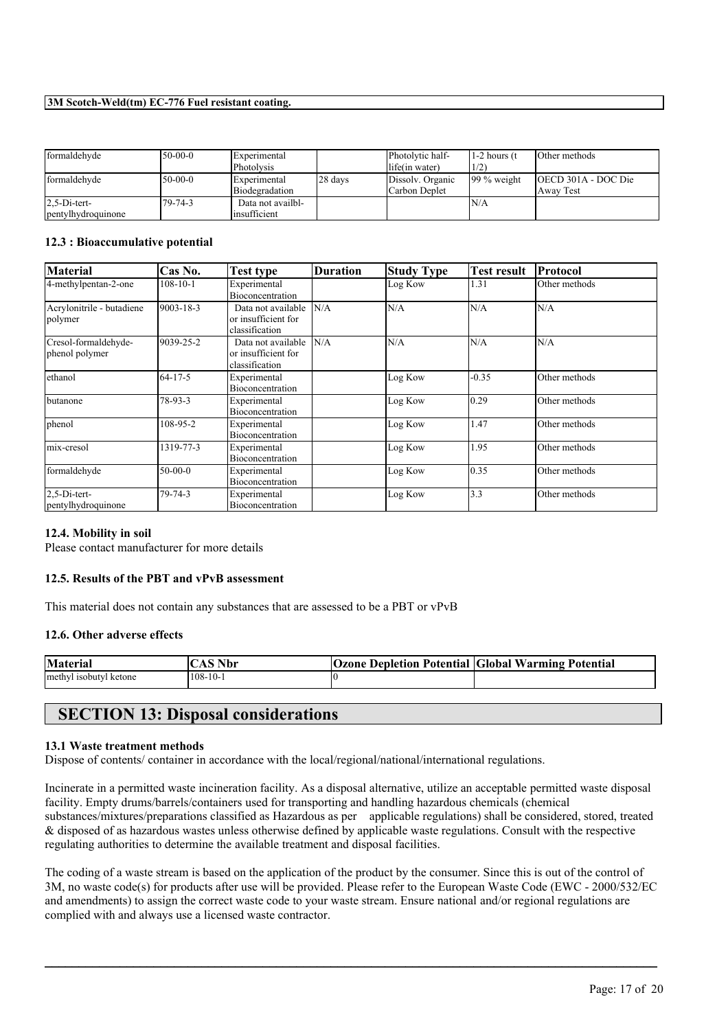| formaldehyde       | $50-00-0$ | <b>Experimental</b> |         | Photolytic half- | 1-2 hours (t)  | Other methods       |
|--------------------|-----------|---------------------|---------|------------------|----------------|---------------------|
|                    |           | Photolysis          |         | llife(in water)  | 1/2)           |                     |
| formaldehyde       | $50-00-0$ | <b>Experimental</b> | 28 days | Dissolv. Organic | $199\%$ weight | OECD 301A - DOC Die |
|                    |           | Biodegradation      |         | lCarbon Deplet   |                | Away Test           |
| $2.5-Di-tert-$     | 79-74-3   | Data not availbl-   |         |                  | IN/A           |                     |
| pentylhydroquinone |           | linsufficient       |         |                  |                |                     |

#### **12.3 : Bioaccumulative potential**

| <b>Material</b>                        | Cas No.         | Test type                                                   | Duration | <b>Study Type</b> | Test result    | Protocol      |
|----------------------------------------|-----------------|-------------------------------------------------------------|----------|-------------------|----------------|---------------|
| 4-methylpentan-2-one                   | $108 - 10 - 1$  | Experimental<br><b>Bioconcentration</b>                     |          | Log Kow           | 1.31           | Other methods |
| Acrylonitrile - butadiene<br>polymer   | $9003 - 18 - 3$ | Data not available<br>or insufficient for<br>classification | N/A      | N/A               | N/A            | N/A           |
| Cresol-formaldehyde-<br>phenol polymer | 9039-25-2       | Data not available<br>or insufficient for<br>classification | N/A      | N/A               | N/A            | N/A           |
| ethanol                                | $64 - 17 - 5$   | Experimental<br>Bioconcentration                            |          | Log Kow           | $-0.35$        | Other methods |
| butanone                               | 78-93-3         | Experimental<br>Bioconcentration                            |          | Log Kow           | $ 0.29\rangle$ | Other methods |
| phenol                                 | 108-95-2        | Experimental<br>Bioconcentration                            |          | Log Kow           | 1.47           | Other methods |
| mix-cresol                             | 1319-77-3       | Experimental<br>Bioconcentration                            |          | Log Kow           | 1.95           | Other methods |
| formaldehyde                           | $50-00-0$       | Experimental<br>Bioconcentration                            |          | Log Kow           | 0.35           | Other methods |
| $2.5$ -Di-tert-<br>pentylhydroquinone  | 79-74-3         | Experimental<br>Bioconcentration                            |          | Log Kow           | 3.3            | Other methods |

#### **12.4. Mobility in soil**

Please contact manufacturer for more details

## **12.5. Results of the PBT and vPvB assessment**

This material does not contain any substances that are assessed to be a PBT or vPvB

#### **12.6. Other adverse effects**

| <b>Material</b>        | $^{\circ}$ S Nbr $^{\circ}$<br>AS | <b>Ozone Depletion Potential Global Warming Potential</b> |  |
|------------------------|-----------------------------------|-----------------------------------------------------------|--|
| methyl isobutyl ketone | 108-10-1                          |                                                           |  |

# **SECTION 13: Disposal considerations**

#### **13.1 Waste treatment methods**

Dispose of contents/ container in accordance with the local/regional/national/international regulations.

Incinerate in a permitted waste incineration facility. As a disposal alternative, utilize an acceptable permitted waste disposal facility. Empty drums/barrels/containers used for transporting and handling hazardous chemicals (chemical substances/mixtures/preparations classified as Hazardous as per applicable regulations) shall be considered, stored, treated & disposed of as hazardous wastes unless otherwise defined by applicable waste regulations. Consult with the respective regulating authorities to determine the available treatment and disposal facilities.

The coding of a waste stream is based on the application of the product by the consumer. Since this is out of the control of 3M, no waste code(s) for products after use will be provided. Please refer to the European Waste Code (EWC - 2000/532/EC and amendments) to assign the correct waste code to your waste stream. Ensure national and/or regional regulations are complied with and always use a licensed waste contractor.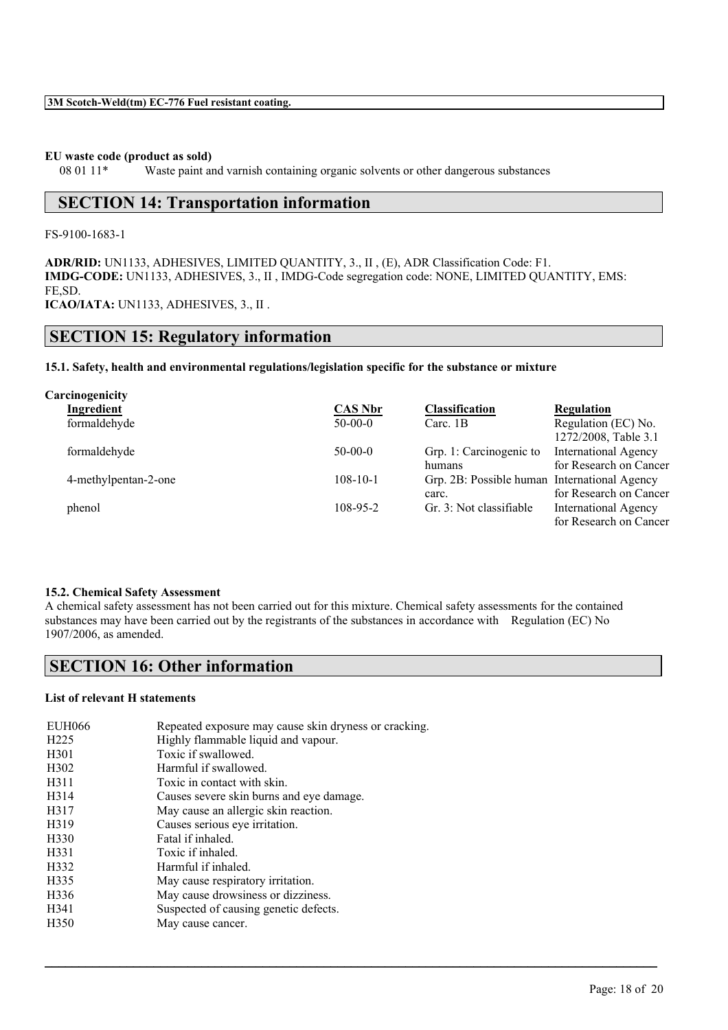#### **EU waste code (product as sold)**

08 01 11\* Waste paint and varnish containing organic solvents or other dangerous substances

# **SECTION 14: Transportation information**

FS-9100-1683-1

**ADR/RID:** UN1133, ADHESIVES, LIMITED QUANTITY, 3., II , (E), ADR Classification Code: F1. **IMDG-CODE:** UN1133, ADHESIVES, 3., II , IMDG-Code segregation code: NONE, LIMITED QUANTITY, EMS: FE,SD.

**ICAO/IATA:** UN1133, ADHESIVES, 3., II .

# **SECTION 15: Regulatory information**

### **15.1. Safety, health and environmental regulations/legislation specific for the substance or mixture**

| Carcinogenicity      |                |                                              |                             |
|----------------------|----------------|----------------------------------------------|-----------------------------|
| Ingredient           | <b>CAS Nbr</b> | <b>Classification</b>                        | <b>Regulation</b>           |
| formaldehyde         | $50-00-0$      | Carc. $1B$                                   | Regulation (EC) No.         |
|                      |                |                                              | 1272/2008, Table 3.1        |
| formaldehyde         | $50-00-0$      | Grp. 1: Carcinogenic to                      | <b>International Agency</b> |
|                      |                | humans                                       | for Research on Cancer      |
| 4-methylpentan-2-one | $108 - 10 - 1$ | Grp. 2B: Possible human International Agency |                             |
|                      |                | carc.                                        | for Research on Cancer      |
| phenol               | $108 - 95 - 2$ | Gr. 3: Not classifiable                      | <b>International Agency</b> |
|                      |                |                                              | for Research on Cancer      |

#### **15.2. Chemical Safety Assessment**

A chemical safety assessment has not been carried out for this mixture. Chemical safety assessments for the contained substances may have been carried out by the registrants of the substances in accordance with Regulation (EC) No 1907/2006, as amended.

 $\mathcal{L}_\mathcal{L} = \mathcal{L}_\mathcal{L} = \mathcal{L}_\mathcal{L} = \mathcal{L}_\mathcal{L} = \mathcal{L}_\mathcal{L} = \mathcal{L}_\mathcal{L} = \mathcal{L}_\mathcal{L} = \mathcal{L}_\mathcal{L} = \mathcal{L}_\mathcal{L} = \mathcal{L}_\mathcal{L} = \mathcal{L}_\mathcal{L} = \mathcal{L}_\mathcal{L} = \mathcal{L}_\mathcal{L} = \mathcal{L}_\mathcal{L} = \mathcal{L}_\mathcal{L} = \mathcal{L}_\mathcal{L} = \mathcal{L}_\mathcal{L}$ 

# **SECTION 16: Other information**

## **List of relevant H statements**

| <b>EUH066</b>     | Repeated exposure may cause skin dryness or cracking. |
|-------------------|-------------------------------------------------------|
| H <sub>225</sub>  | Highly flammable liquid and vapour.                   |
| H <sub>301</sub>  | Toxic if swallowed.                                   |
| H <sub>3</sub> 02 | Harmful if swallowed.                                 |
| H311              | Toxic in contact with skin.                           |
| H <sub>3</sub> 14 | Causes severe skin burns and eye damage.              |
| H317              | May cause an allergic skin reaction.                  |
| H319              | Causes serious eye irritation.                        |
| H330              | Fatal if inhaled.                                     |
| H331              | Toxic if inhaled.                                     |
| H332              | Harmful if inhaled.                                   |
| H335              | May cause respiratory irritation.                     |
| H336              | May cause drowsiness or dizziness.                    |
| H341              | Suspected of causing genetic defects.                 |
| H <sub>350</sub>  | May cause cancer.                                     |
|                   |                                                       |